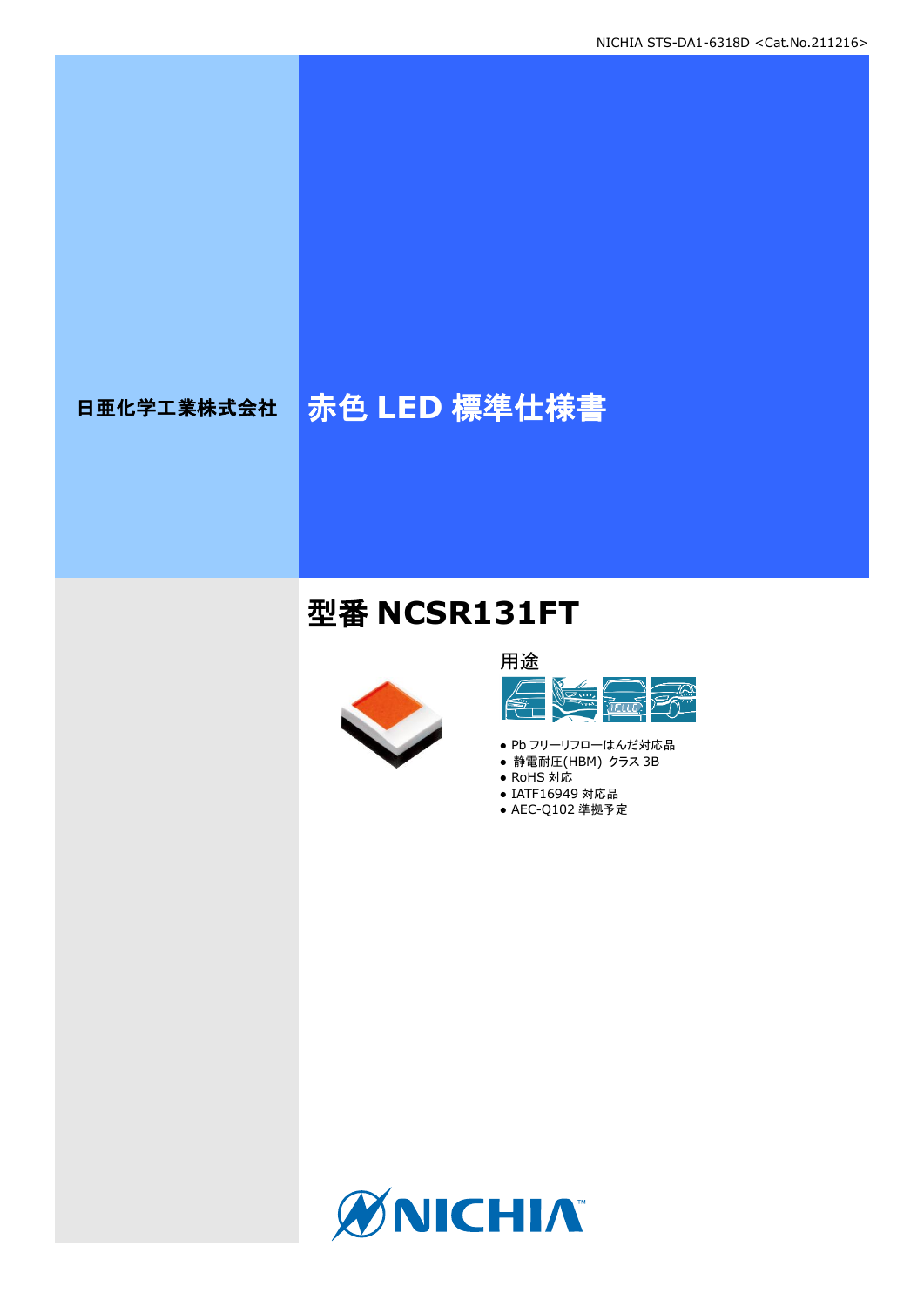# 日亜化学工業株式会社 <mark>赤色 LED 標準仕様書</mark>

## 型番 **NCSR131FT**





- Pb フリーリフローはんだ対応品
- **静電耐圧(HBM) クラス 3B**
- RoHS 対応 ● IATF16949 対応品
- AEC-Q102 準拠予定

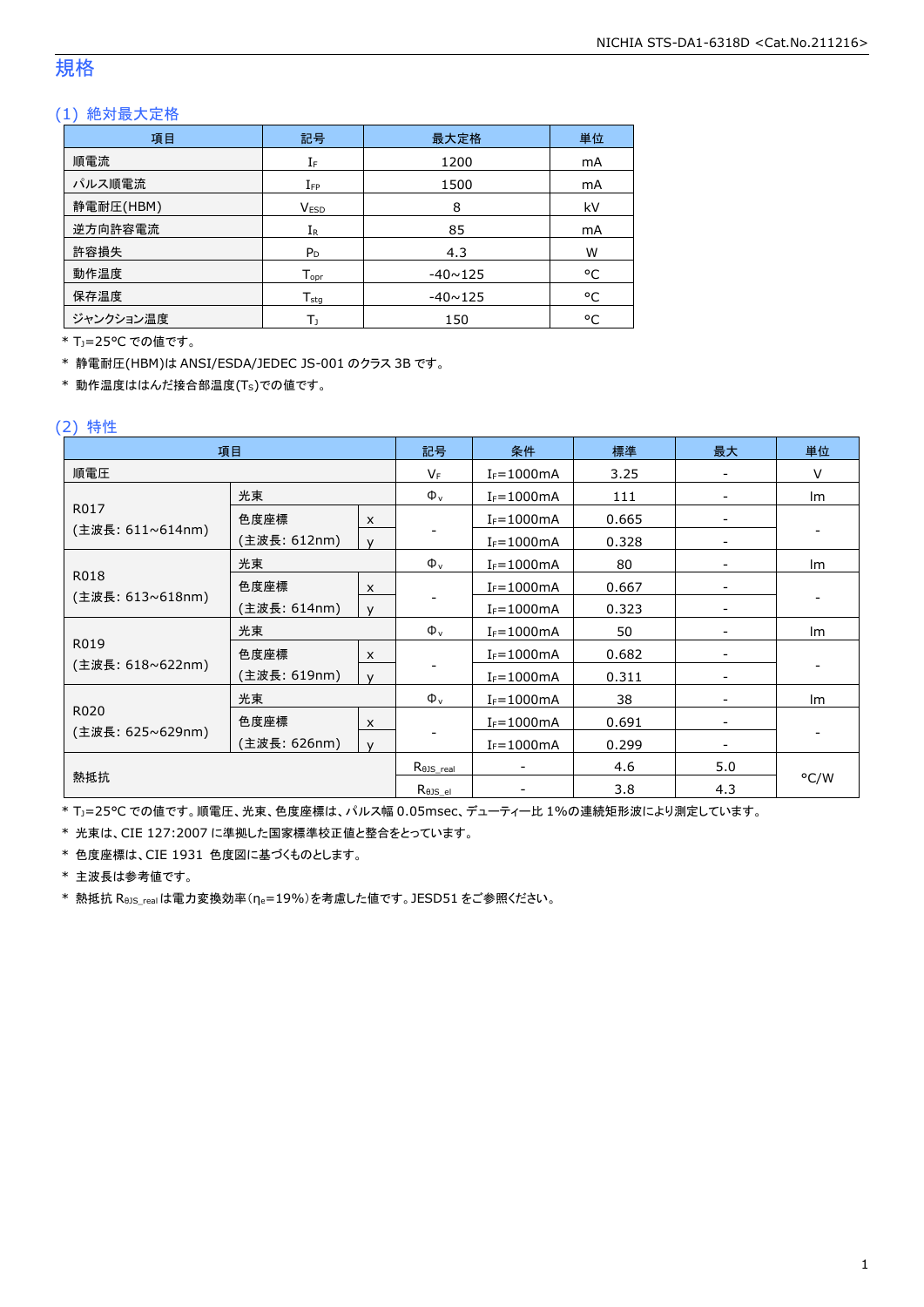#### 規格

#### (1) 絶対最大定格

| 項目        | 記号               | 最大定格           | 単位        |
|-----------|------------------|----------------|-----------|
| 順電流       | IF               | 1200           | mA        |
| パルス順電流    | $I_{FP}$         | 1500           | mA        |
| 静電耐圧(HBM) | <b>VESD</b>      | 8              | kV        |
| 逆方向許容電流   | $I_{R}$          | 85             | <b>mA</b> |
| 許容損失      | $P_D$            | 4.3            | W         |
| 動作温度      | $T_{\text{opt}}$ | $-40 \sim 125$ | °C        |
| 保存温度      | $T_{sta}$        | $-40 \sim 125$ | °C        |
| ジャンクション温度 | Tı               | 150            | °C        |

\* TJ=25°C での値です。

\* 静電耐圧(HBM)は ANSI/ESDA/JEDEC JS-001 のクラス 3B です。

\* 動作温度ははんだ接合部温度(TS)での値です。

#### (2) 特性

| 項目               |              |                           | 記号                         | 条件              | 標準    | 最大                       | 単位   |
|------------------|--------------|---------------------------|----------------------------|-----------------|-------|--------------------------|------|
| 順電圧              |              |                           | $V_F$                      | $I_F = 1000$ mA | 3.25  |                          | V    |
|                  | 光束           |                           | $\Phi_{v}$                 | $I_F = 1000mA$  | 111   | $\overline{\phantom{a}}$ | Im   |
| R017             | 色度座標         | $\pmb{\times}$            |                            | $I_F = 1000mA$  | 0.665 |                          |      |
| (主波長: 611∼614nm) | (主波長: 612nm) | $\mathsf{v}$              |                            | $I_F = 1000mA$  | 0.328 |                          |      |
|                  | 光束           |                           | $\Phi_{v}$                 | $I_F = 1000mA$  | 80    |                          | lm   |
| R018             | 色度座標         | $\boldsymbol{\mathsf{x}}$ |                            | $I_F = 1000mA$  | 0.667 |                          |      |
| (主波長: 613~618nm) | (主波長: 614nm) | $\mathsf{v}$              |                            | $I_F = 1000mA$  | 0.323 |                          |      |
|                  | 光束           |                           | $\Phi_{v}$                 | $I_F = 1000mA$  | 50    |                          | Im   |
| R019             | 色度座標         | $\pmb{\times}$            |                            | $I_F = 1000mA$  | 0.682 |                          |      |
| (主波長: 618~622nm) | (主波長: 619nm) | $\mathsf{v}$              |                            | $I_F = 1000mA$  | 0.311 | $\overline{\phantom{0}}$ |      |
|                  | 光束           |                           | $\Phi_{v}$                 | $I_F = 1000mA$  | 38    |                          | Im   |
| R020             | 色度座標         | $\boldsymbol{\mathsf{x}}$ |                            | $I_F = 1000mA$  | 0.691 |                          |      |
| (主波長: 625~629nm) | (主波長: 626nm) | $\mathsf{v}$              |                            | $I_F = 1000mA$  | 0.299 |                          |      |
|                  |              | $R_{\theta J S\_real}$    |                            | 4.6             | 5.0   |                          |      |
| 熱抵抗              |              |                           | $R_{\theta \text{JS\_el}}$ |                 | 3.8   | 4.3                      | °C/W |

\* TJ=25°C での値です。順電圧、光束、色度座標は、パルス幅 0.05msec、デューティー比 1%の連続矩形波により測定しています。

\* 光束は、CIE 127:2007 に準拠した国家標準校正値と整合をとっています。

\* 色度座標は、CIE 1931 色度図に基づくものとします。

\* 主波長は参考値です。

\* 熱抵抗 RθJS\_realは電力変換効率(ηe=19%)を考慮した値です。JESD51 をご参照ください。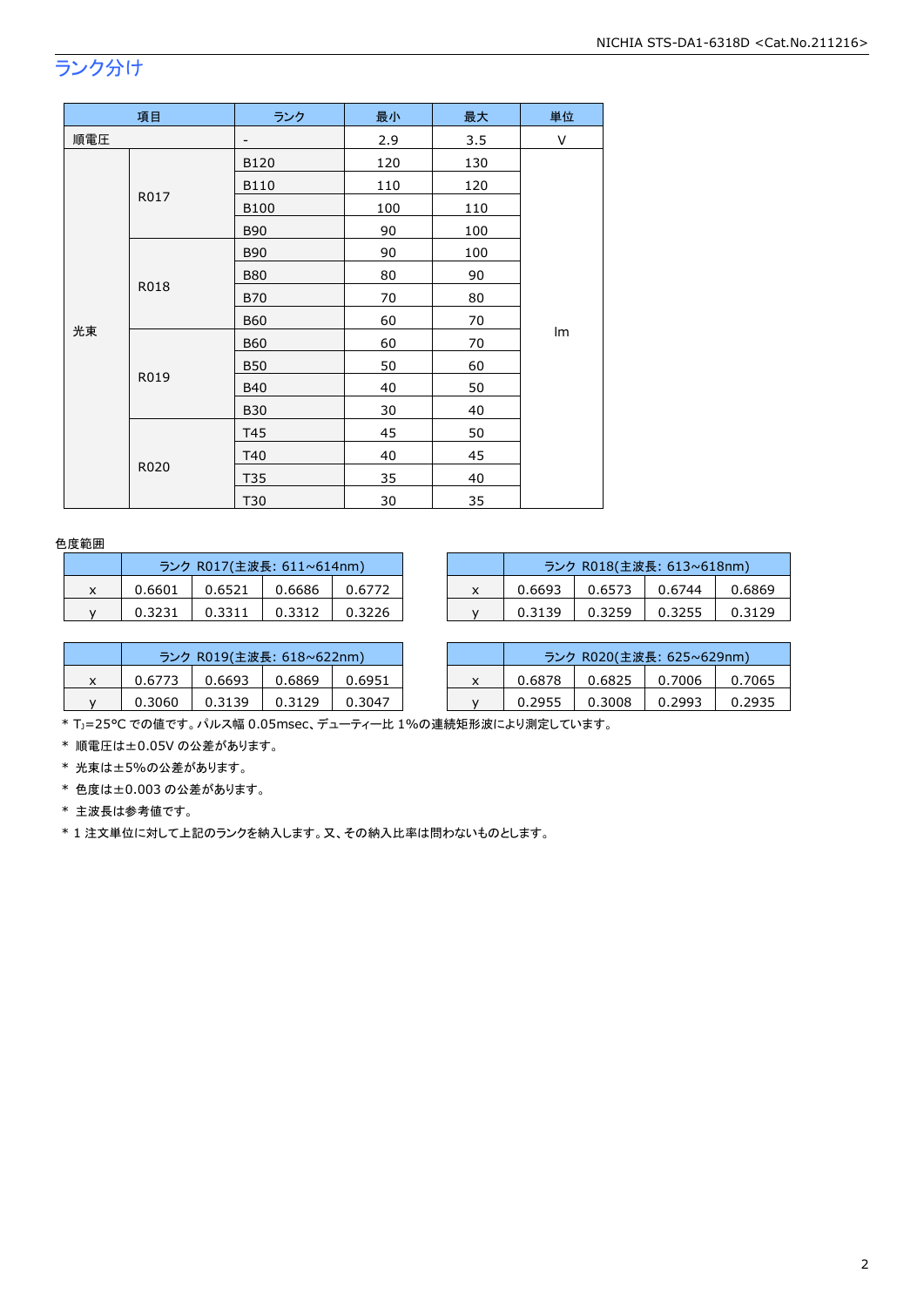## ランク分け

|     | 項目   | ランク                      | 最小  | 最大  | 単位 |
|-----|------|--------------------------|-----|-----|----|
| 順電圧 |      | $\overline{\phantom{a}}$ | 2.9 | 3.5 | V  |
|     |      | B120                     | 120 | 130 |    |
|     |      | B110                     | 110 | 120 |    |
|     | R017 | <b>B100</b>              | 100 | 110 |    |
|     |      | <b>B90</b>               | 90  | 100 |    |
|     |      | <b>B90</b>               | 90  | 100 |    |
|     | R018 | <b>B80</b>               | 80  | 90  |    |
|     |      | <b>B70</b>               | 70  | 80  |    |
|     |      | <b>B60</b>               | 60  | 70  |    |
| 光束  |      | <b>B60</b>               | 60  | 70  | Im |
|     |      | <b>B50</b>               | 50  | 60  |    |
|     | R019 | <b>B40</b>               | 40  | 50  |    |
|     |      | <b>B30</b>               | 30  | 40  |    |
|     |      | T45                      | 45  | 50  |    |
|     |      | T40                      | 40  | 45  |    |
|     | R020 | T35                      | 35  | 40  |    |
|     |      | T30                      | 30  | 35  |    |

#### 色度範囲

|   | ランク R017(主波長: 611~614nm) |        |        |        |  |  |
|---|--------------------------|--------|--------|--------|--|--|
| x | 0.6601                   | 0.6521 | 0.6686 | 0.6772 |  |  |
|   | 0.3231                   | 0.3311 | 0.3312 | 0.3226 |  |  |

|   | ランク R017(主波長: 611~614nm) |        |        |        |  | ランク R018(主波長: 613~618nm) |        |        |        |
|---|--------------------------|--------|--------|--------|--|--------------------------|--------|--------|--------|
| ^ | 0.6601                   | 0.6521 | 0.6686 | 0.6772 |  | 0.6693                   | 0.6573 | 0.6744 | 0.6869 |
|   | 0.3231                   | 0.3311 | 0.3312 | 0.3226 |  | 0.3139                   | 0.3259 | 0.3255 | 0.3129 |

|   | ランク R019(主波長: 618~622nm) |        |        |        |  |  |
|---|--------------------------|--------|--------|--------|--|--|
| x | 0.6773                   | 0.6693 | 0.6869 | 0.6951 |  |  |
|   | 0.3060                   | 0.3139 | 0.3129 | 0.3047 |  |  |

|        | ランク R019(主波長: 618~622nm) |        |        |        | ランク R020(主波長: 625~629nm) |        |        |        |        |
|--------|--------------------------|--------|--------|--------|--------------------------|--------|--------|--------|--------|
| $\sim$ | 0.6773                   | 0.6693 | 0.6869 | 0.6951 |                          | 0.6878 | 0.6825 | 0.7006 | 0.7065 |
|        | 0.3060                   | 0.3139 | 0.3129 | 0.3047 |                          | 0.2955 | 0.3008 | 0.2993 | 0.2935 |

\* TJ=25°C での値です。パルス幅 0.05msec、デューティー比 1%の連続矩形波により測定しています。

\* 順電圧は±0.05V の公差があります。

\* 光束は±5%の公差があります。

\* 色度は±0.003 の公差があります。

\* 主波長は参考値です。

\* 1 注文単位に対して上記のランクを納入します。又、その納入比率は問わないものとします。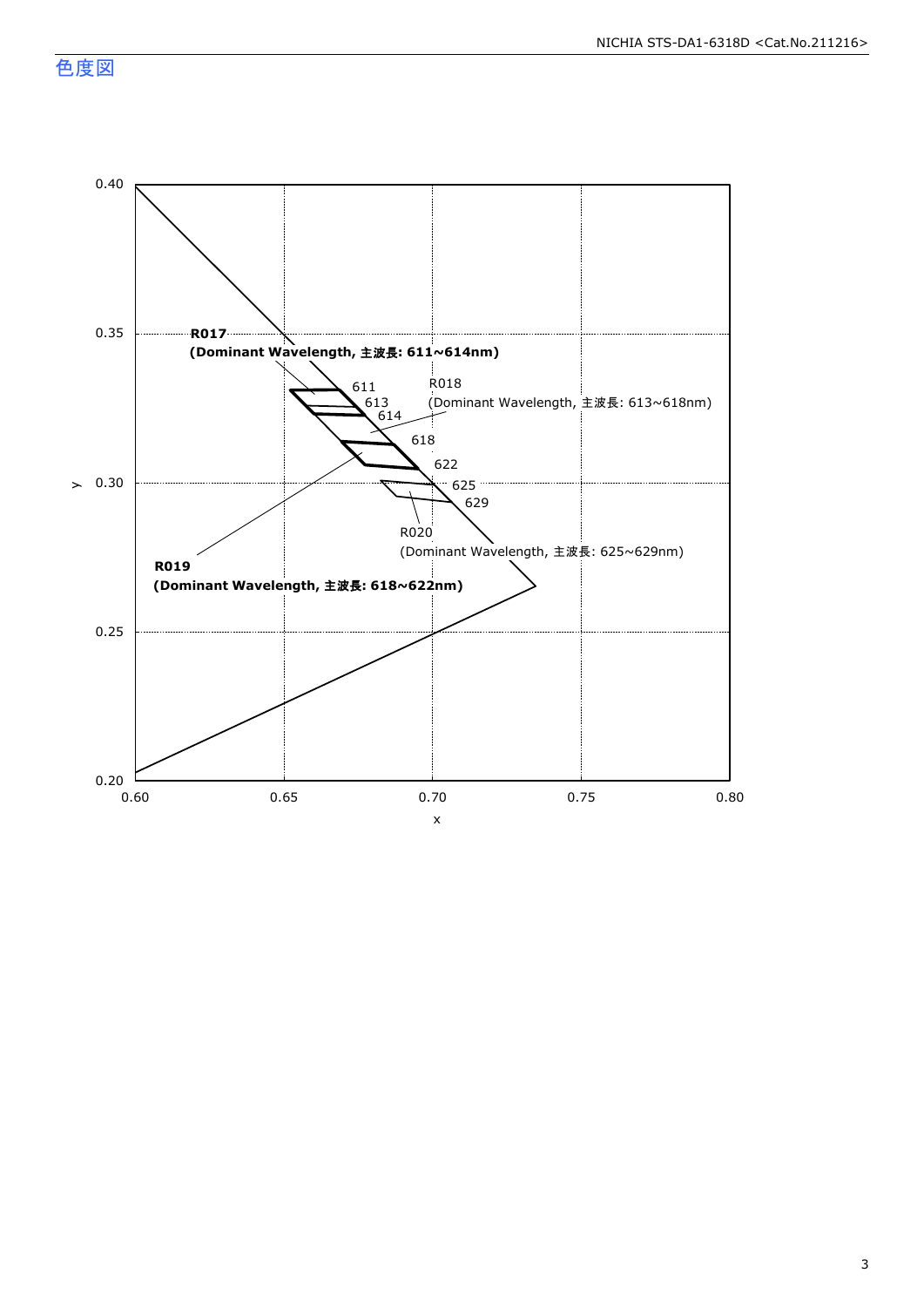色度図

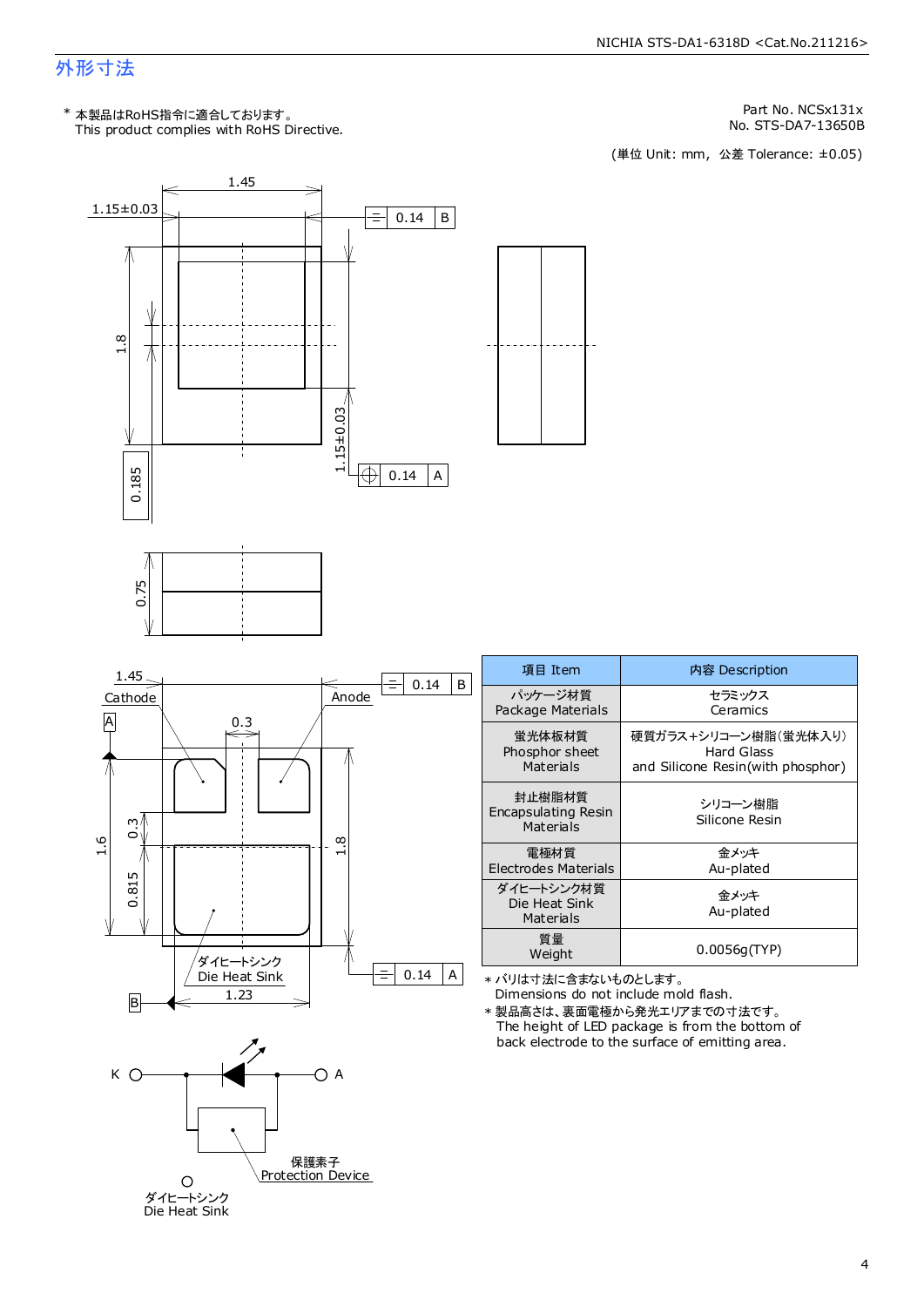#### 外形寸法

This product complies with RoHS Directive. \* 本製品はRoHS指令に適合しております。

Part No. NCSx131x

No. STS-DA7-13650B<br>(単位 Unit: mm,公差 Tolerance: ±0.05)

セラミックス Ceramics

Hard Glass

金メッキ Au-plated

金メッキ Au-plated



保護素子 **Protection Device** 

ダイヒートシンク<br>Die Heat Sink

 $\circ$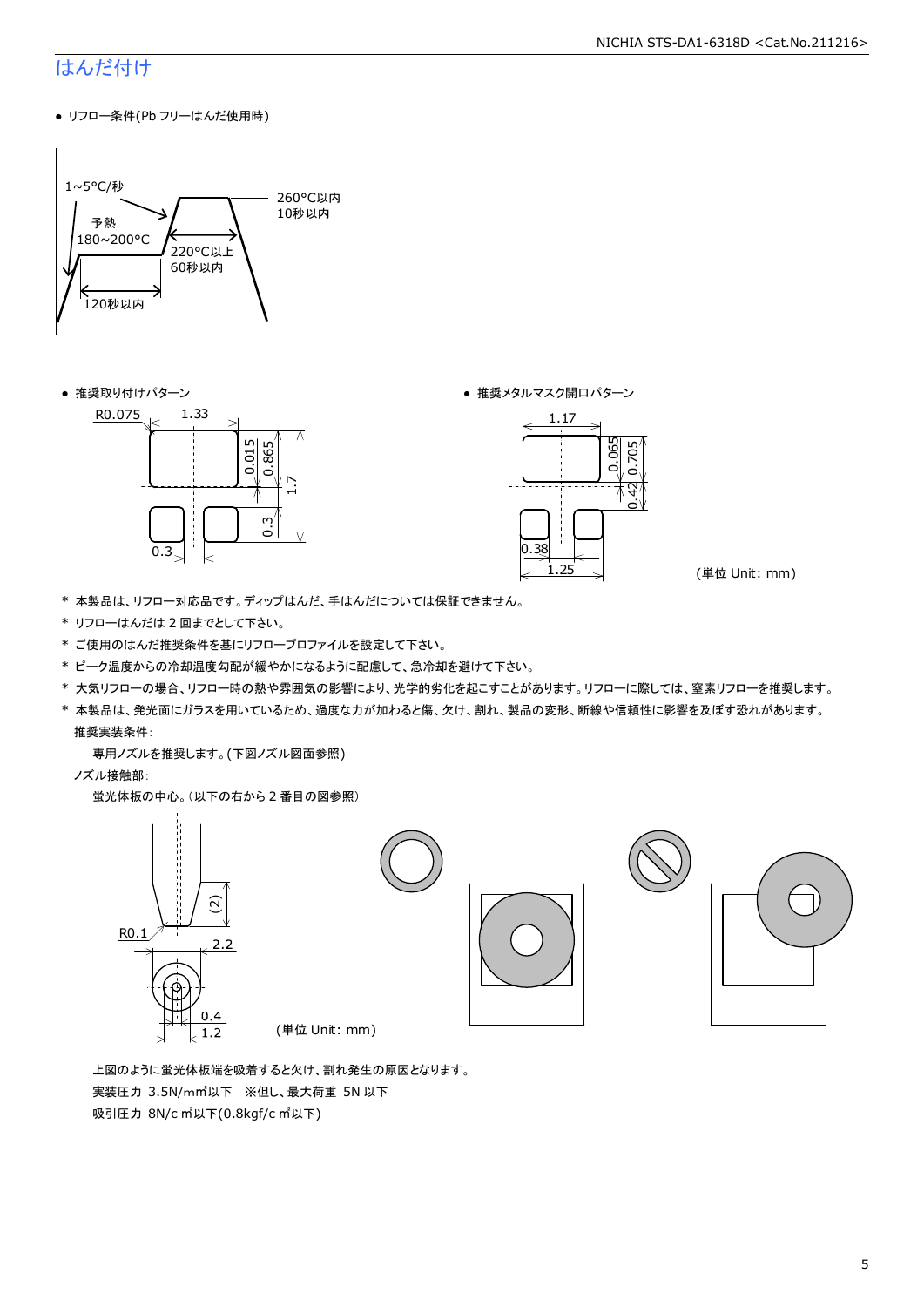### はんだ付け

● リフロー条件(Pb フリーはんだ使用時)



● 推奨取り付けパターン ろんじょう しょうしゃ ゆうしゃ ウィック あんきょう きょうかん きゅうしょく 推奨メタルマスク開口パターン





(単位 Unit: mm)

- \* 本製品は、リフロー対応品です。ディップはんだ、手はんだについては保証できません。
- \* リフローはんだは 2 回までとして下さい。
- \* ご使用のはんだ推奨条件を基にリフロープロファイルを設定して下さい。
- \* ピーク温度からの冷却温度勾配が緩やかになるように配慮して、急冷却を避けて下さい。
- \* 大気リフローの場合、リフロー時の熱や雰囲気の影響により、光学的劣化を起こすことがあります。リフローに際しては、窒素リフローを推奨します。
- \* 本製品は、発光面にガラスを用いているため、過度な力が加わると傷、欠け、割れ、製品の変形、断線や信頼性に影響を及ぼす恐れがあります。 推奨実装条件:

専用ノズルを推奨します。(下図ノズル図面参照)

ノズル接触部:

蛍光体板の中心。(以下の右から 2 番目の図参照)



 上図のように蛍光体板端を吸着すると欠け、割れ発生の原因となります。 実装圧力 3.5N/m㎡以下 ※但し、最大荷重 5N 以下 吸引圧力 8N/c ㎡以下(0.8kgf/c ㎡以下)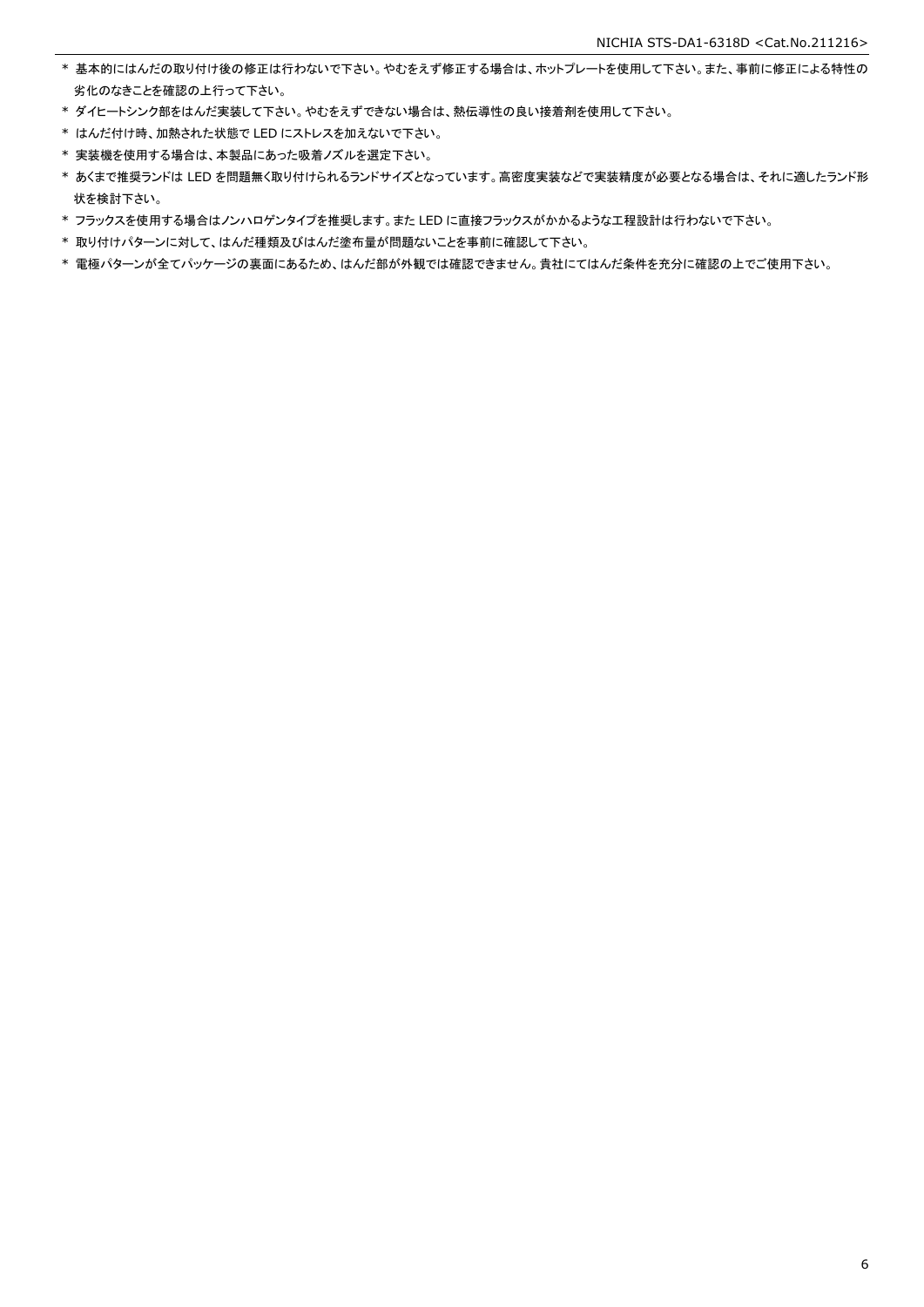- \* 基本的にはんだの取り付け後の修正は行わないで下さい。やむをえず修正する場合は、ホットプレートを使用して下さい。また、事前に修正による特性の 劣化のなきことを確認の上行って下さい。
- \* ダイヒートシンク部をはんだ実装して下さい。やむをえずできない場合は、熱伝導性の良い接着剤を使用して下さい。
- \* はんだ付け時、加熱された状態で LED にストレスを加えないで下さい。
- \* 実装機を使用する場合は、本製品にあった吸着ノズルを選定下さい。
- \* あくまで推奨ランドは LED を問題無く取り付けられるランドサイズとなっています。高密度実装などで実装精度が必要となる場合は、それに適したランド形 状を検討下さい。
- \* フラックスを使用する場合はノンハロゲンタイプを推奨します。また LED に直接フラックスがかかるような工程設計は行わないで下さい。
- \* 取り付けパターンに対して、はんだ種類及びはんだ塗布量が問題ないことを事前に確認して下さい。
- \* 電極パターンが全てパッケージの裏面にあるため、はんだ部が外観では確認できません。貴社にてはんだ条件を充分に確認の上でご使用下さい。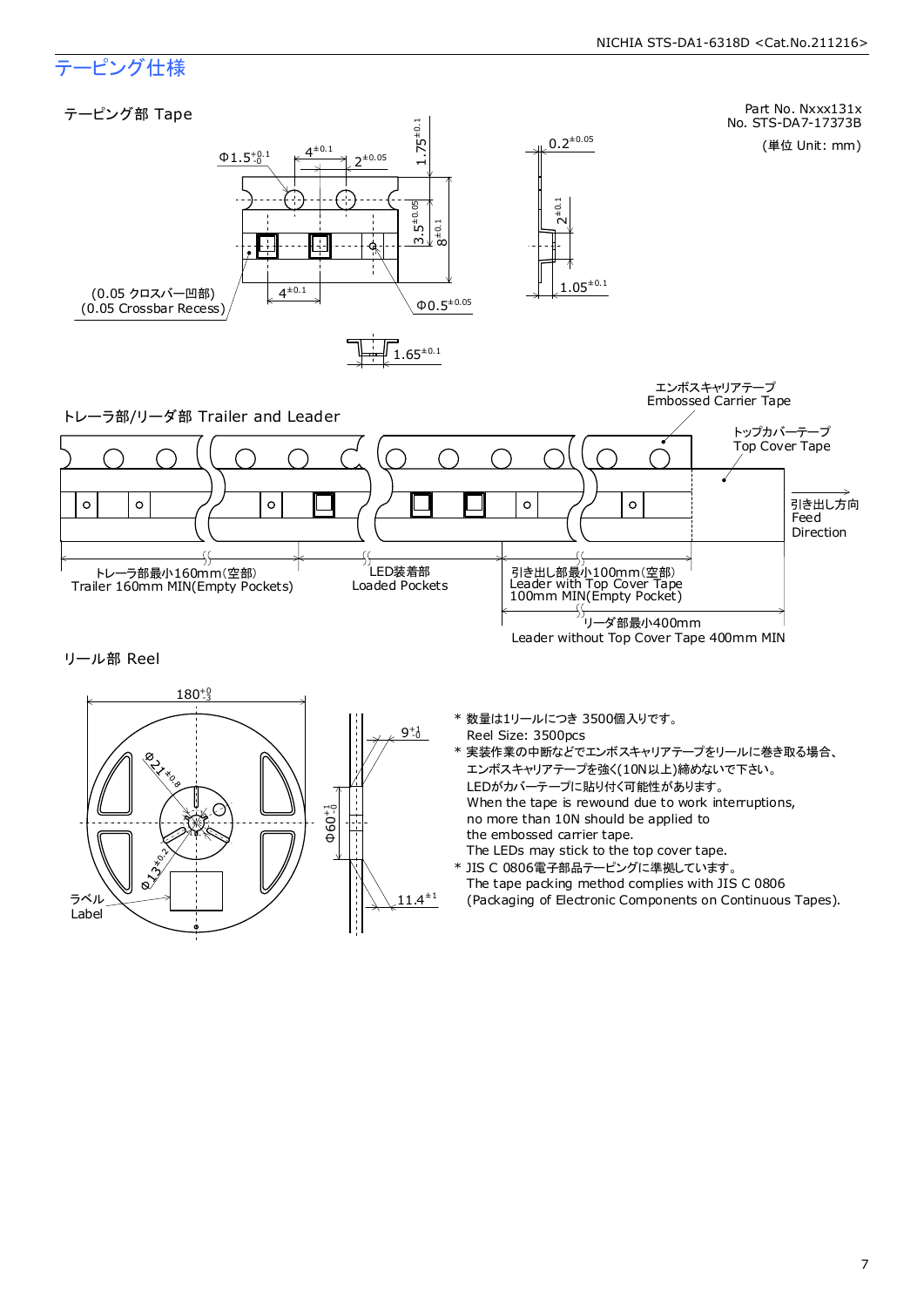

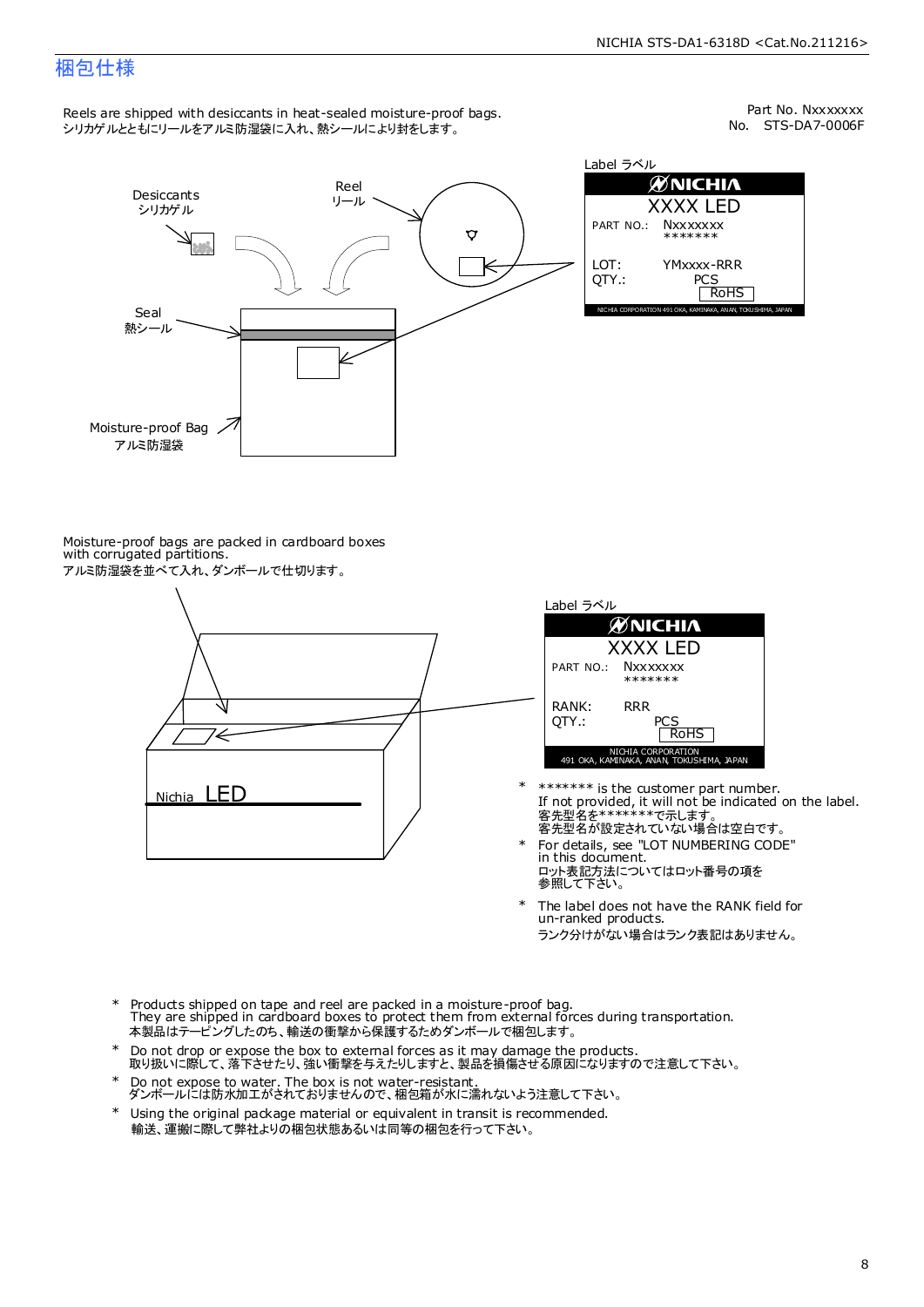#### 梱包仕様

Reels are shipped with desiccants in heat-sealed moisture-proof bags. シリカゲルとともにリールをアルミ防湿袋に入れ、熱シールにより封をします。

No. STS-DA7-0006F Part No. Nxxxxxxx



| Label ラベル     |                                                              |  |  |  |  |  |
|---------------|--------------------------------------------------------------|--|--|--|--|--|
| ØNICHIA       |                                                              |  |  |  |  |  |
| XXXX LED      |                                                              |  |  |  |  |  |
|               | PART NO.: NXXXXXXX<br>*******                                |  |  |  |  |  |
| LOT:<br>OTY.: | YMxxxx-RRR<br>PCS<br><b>RoHS</b>                             |  |  |  |  |  |
|               | NICHIA CORPORATION 491 OKA, KAMINAKA, ANAN, TOKUSHIMA, JAPAN |  |  |  |  |  |

Moisture-proof bags are packed in cardboard boxes with corrugated partitions. アルミ防湿袋を並べて入れ、ダンボールで仕切ります。





- 客先型名を\*\*\*\*\*\*\*\*で示します。<br>客先型名が設定されていない場合は空白です。 If not provided, it will not be indicated on the label. \*\*\*\*\*\*\* is the customer part number.
- For details, see "LOT NUMBERING CODE" in this document. ロット表記方法についてはロット番号の項を<br>参照して下さい。 \*
- The label does not have the RANK field for un-ranked products. ランク分けがない場合はランク表記はありません。 \*
- Products shipped on tape and reel are packed in a moisture-proof bag. They are shipped in cardboard boxes to protect them from external forces during transportation. 本製品はテーピングしたのち、輸送の衝撃から保護するためダンボールで梱包します。 \*
- Do not drop or expose the box to external forces as it may damage the products. 取り扱いに際して、落下させたり、強い衝撃を与えたりしますと、製品を損傷させる原因になりますので注意して下さい。 \*
- Do not expose to water. The box is not water-resistant. ダンボールには防水加工がされておりませんので、梱包箱が水に濡れないよう注意して下さい。 \*
- \* Using the original package material or equivalent in transit is recommended. 輸送、運搬に際して弊社よりの梱包状態あるいは同等の梱包を行って下さい。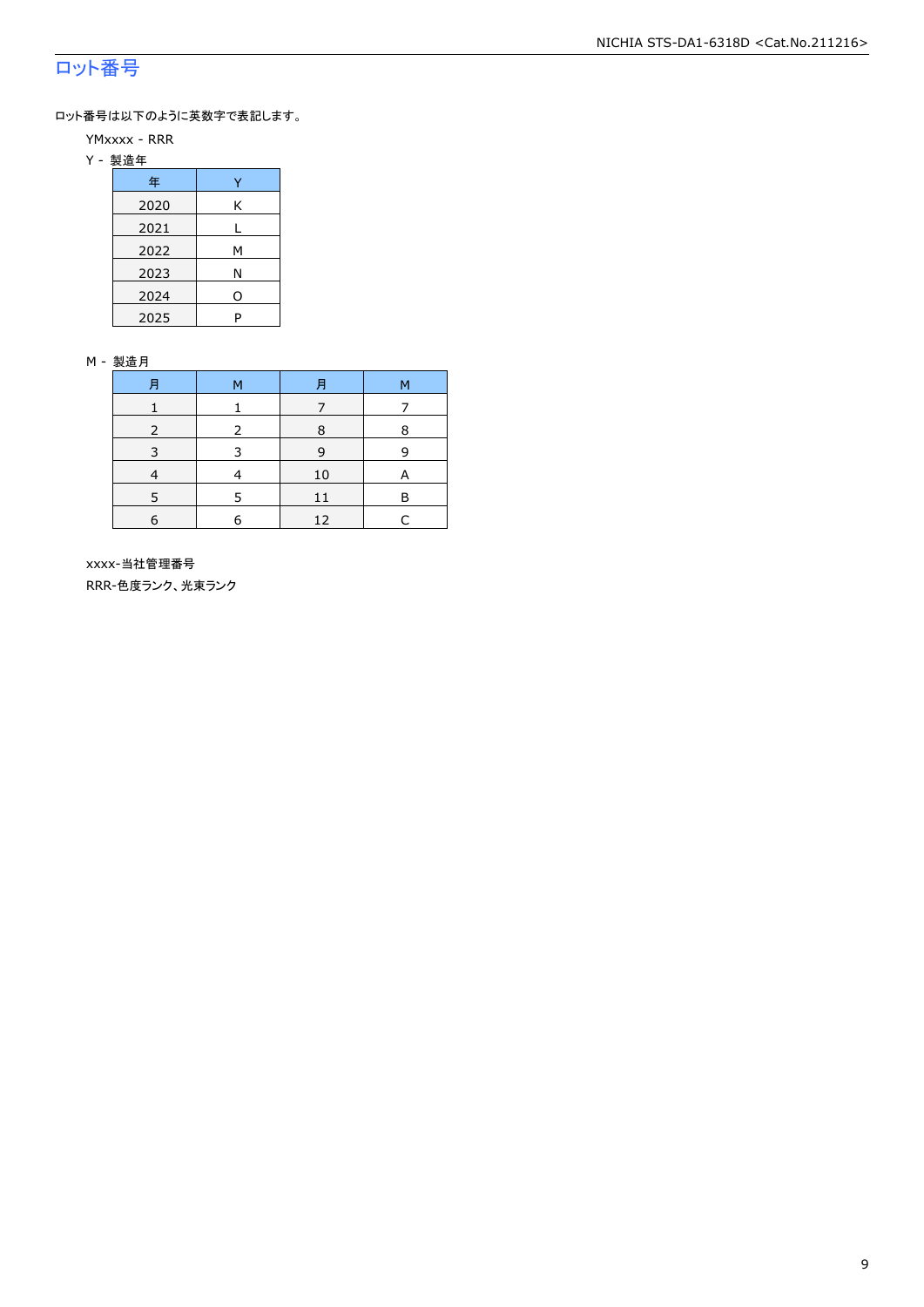### ロット番号

ロット番号は以下のように英数字で表記します。

- YMxxxx RRR
- Y 製造年

| 年    |   |
|------|---|
| 2020 | Κ |
| 2021 |   |
| 2022 | м |
| 2023 | Ν |
| 2024 | ი |
| 2025 | P |

#### M - 製造月

| 肙 | м | 月  | М |  |
|---|---|----|---|--|
|   |   |    |   |  |
|   |   | 8  | 8 |  |
|   | ີ | 9  | q |  |
|   |   | 10 |   |  |
|   |   | 11 | в |  |
| 6 |   | 12 |   |  |

 xxxx-当社管理番号 RRR-色度ランク、光束ランク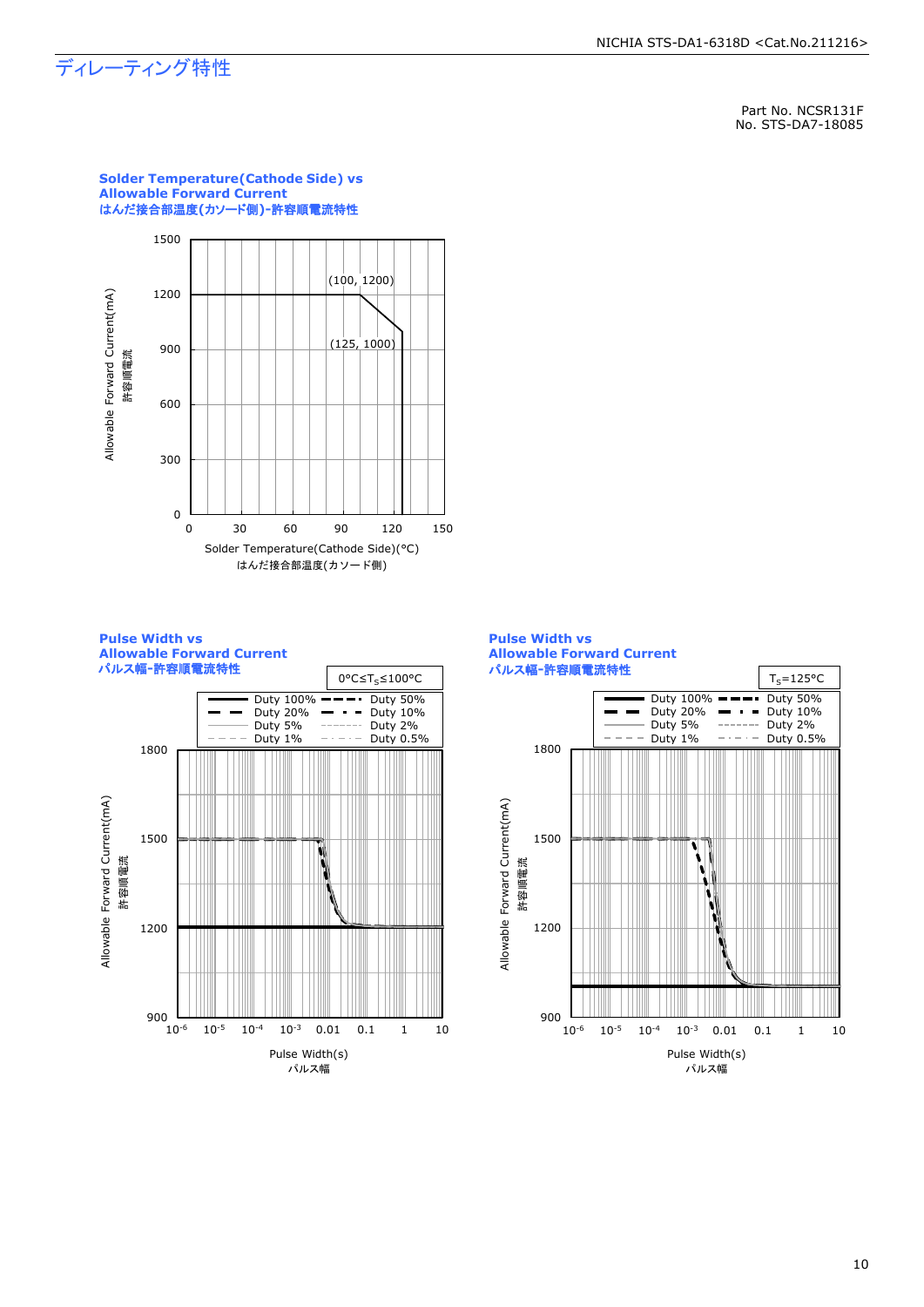## ディレーティング特性

Part No. NCSR131F No. STS-DA7-18085



**Solder Temperature(Cathode Side) vs Allowable Forward Current** はんだ接合部温度**(**カソード側**)-**許容順電流特性





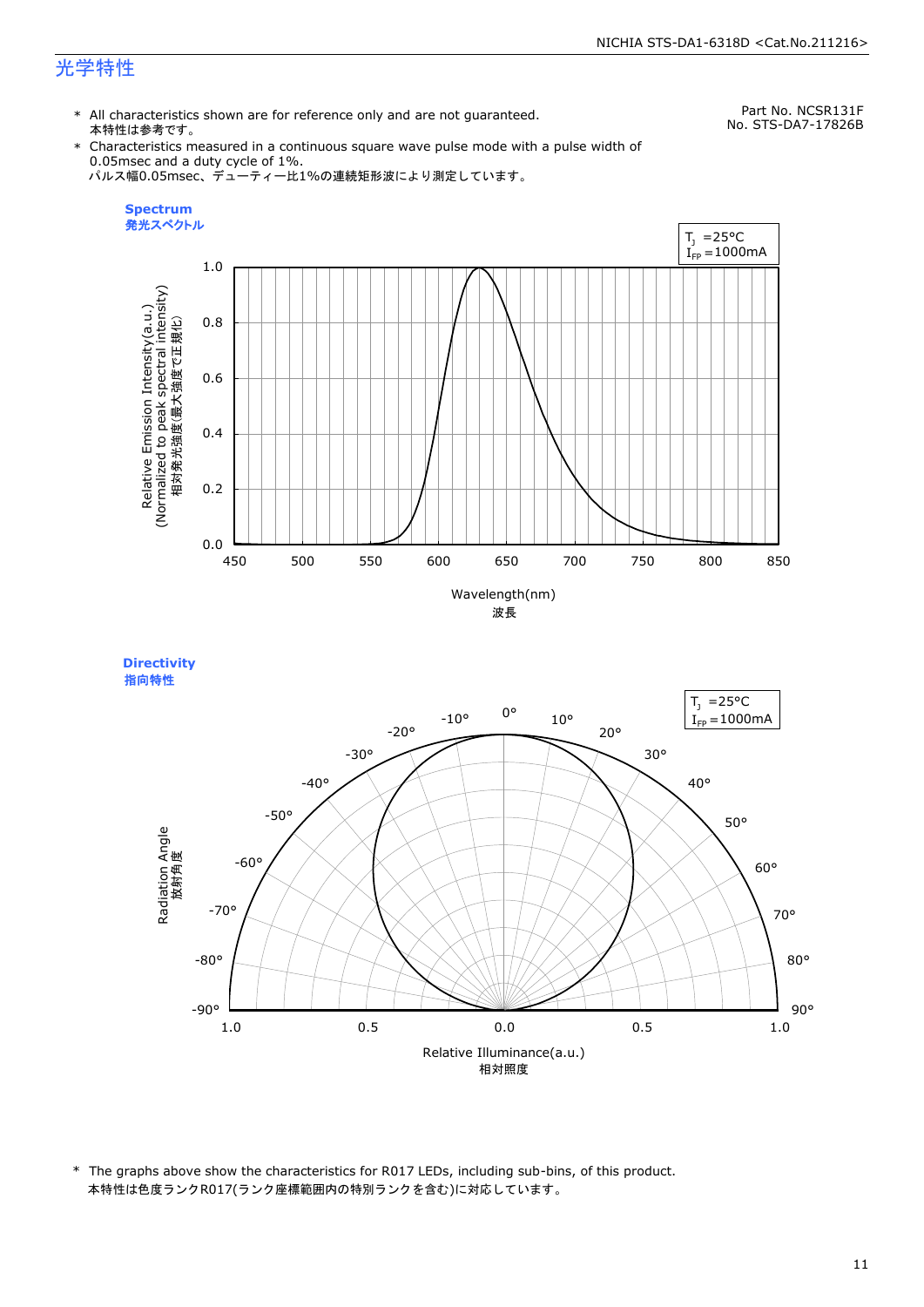\* All characteristics shown are for reference only and are not guaranteed. 本特性は参考です。

Part No. NCSR131F No. STS-DA7-17826B

\* Characteristics measured in a continuous square wave pulse mode with a pulse width of 0.05msec and a duty cycle of 1%. パルス幅0.05msec、デューティー比1%の連続矩形波により測定しています。







\* The graphs above show the characteristics for R017 LEDs, including sub-bins, of this product. 本特性は色度ランクR017(ランク座標範囲内の特別ランクを含む)に対応しています。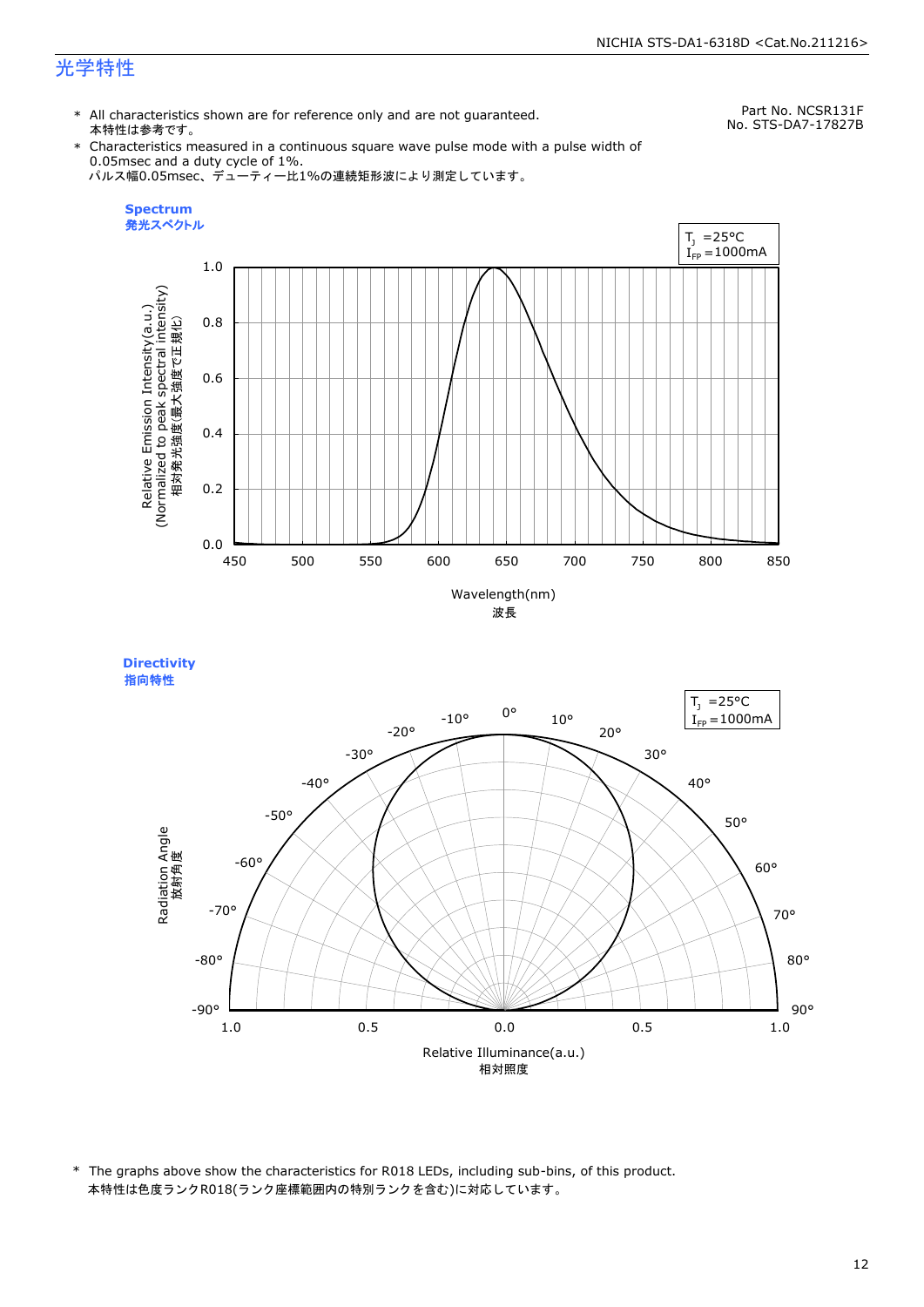\* All characteristics shown are for reference only and are not guaranteed. 本特性は参考です。

Part No. NCSR131F No. STS-DA7-17827B

\* Characteristics measured in a continuous square wave pulse mode with a pulse width of 0.05msec and a duty cycle of 1%. パルス幅0.05msec、デューティー比1%の連続矩形波により測定しています。



Relative Illuminance(a.u.) 相対照度 90° 80° 70° 60° 50° 40° 30° 20° 10° 0° -10° -20° -30°  $-40^\circ$ -50° -60° -70° -80° -90° **Directivity**  指向特性Radiation Angle<br>放射角度 1.0 0.5 0.0 0.5 1.0  $I_{FP} = 1000$ mA

\* The graphs above show the characteristics for R018 LEDs, including sub-bins, of this product. 本特性は色度ランクR018(ランク座標範囲内の特別ランクを含む)に対応しています。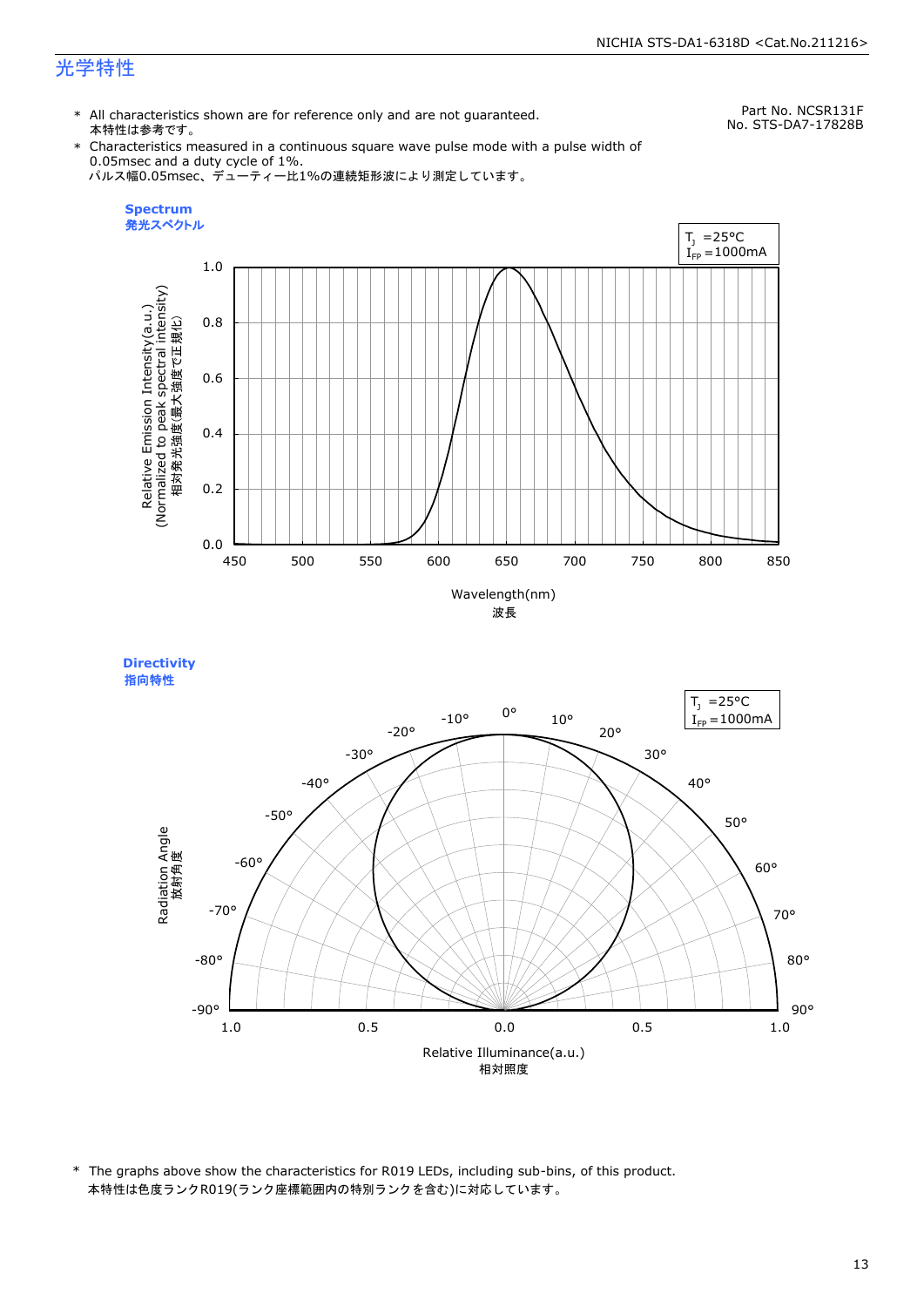**Directivity** 

\* All characteristics shown are for reference only and are not guaranteed. 本特性は参考です。

Part No. NCSR131F No. STS-DA7-17828B

\* Characteristics measured in a continuous square wave pulse mode with a pulse width of 0.05msec and a duty cycle of 1%. パルス幅0.05msec、デューティー比1%の連続矩形波により測定しています。



Relative Illuminance(a.u.) 相対照度 90° 80° 70° 60° 50° 40° 30° 20° 10° 0° -10° -20° -30°  $-40^\circ$ -50° -60° -70° -80° -90° 指向特性Radiation Angle<br>放射角度 1.0 0.5 0.0 0.5 1.0  $I_{FP} = 1000$ mA

\* The graphs above show the characteristics for R019 LEDs, including sub-bins, of this product. 本特性は色度ランクR019(ランク座標範囲内の特別ランクを含む)に対応しています。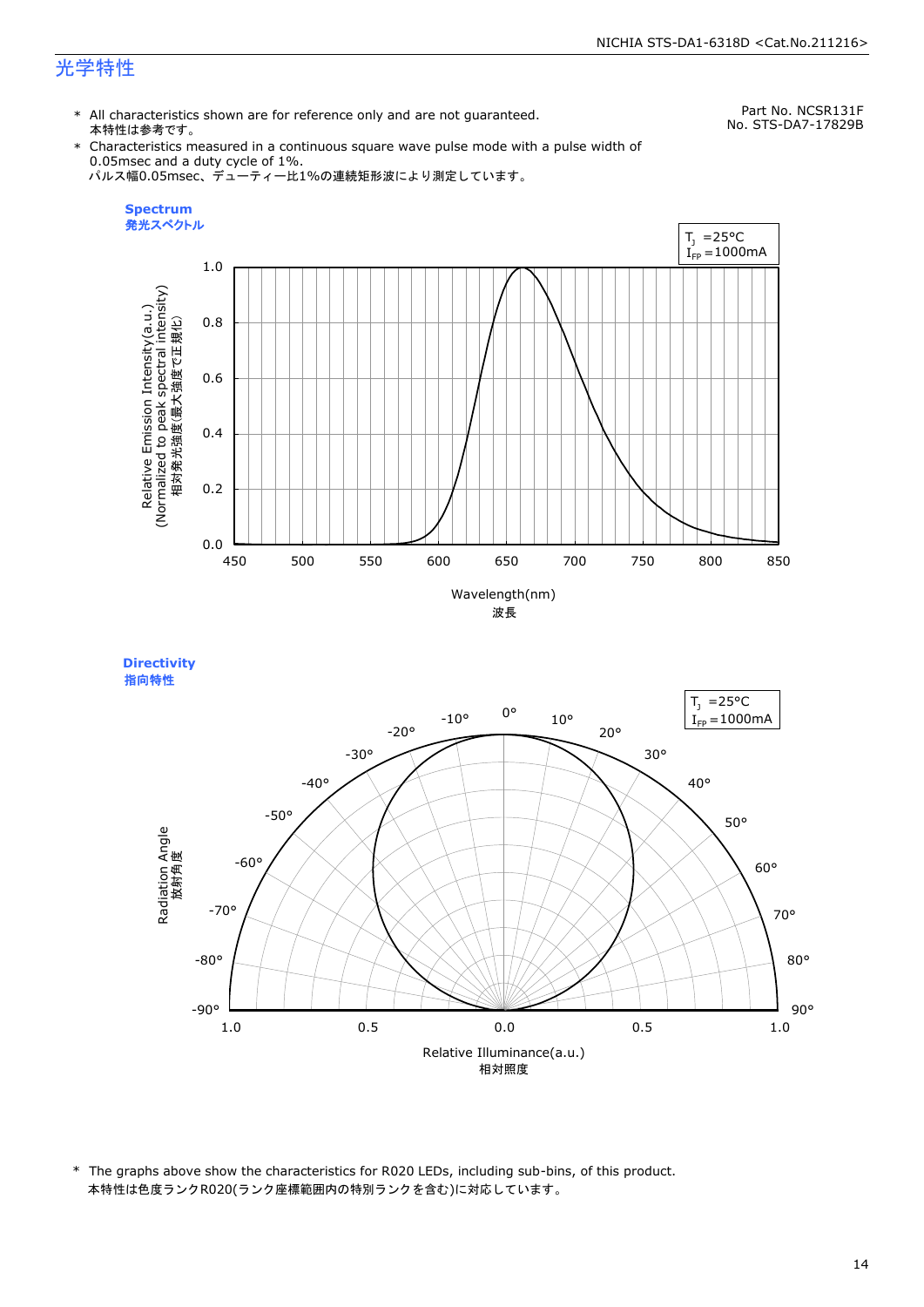\* All characteristics shown are for reference only and are not guaranteed. 本特性は参考です。

Part No. NCSR131F No. STS-DA7-17829B

\* Characteristics measured in a continuous square wave pulse mode with a pulse width of 0.05msec and a duty cycle of 1%. パルス幅0.05msec、デューティー比1%の連続矩形波により測定しています。







\* The graphs above show the characteristics for R020 LEDs, including sub-bins, of this product. 本特性は色度ランクR020(ランク座標範囲内の特別ランクを含む)に対応しています。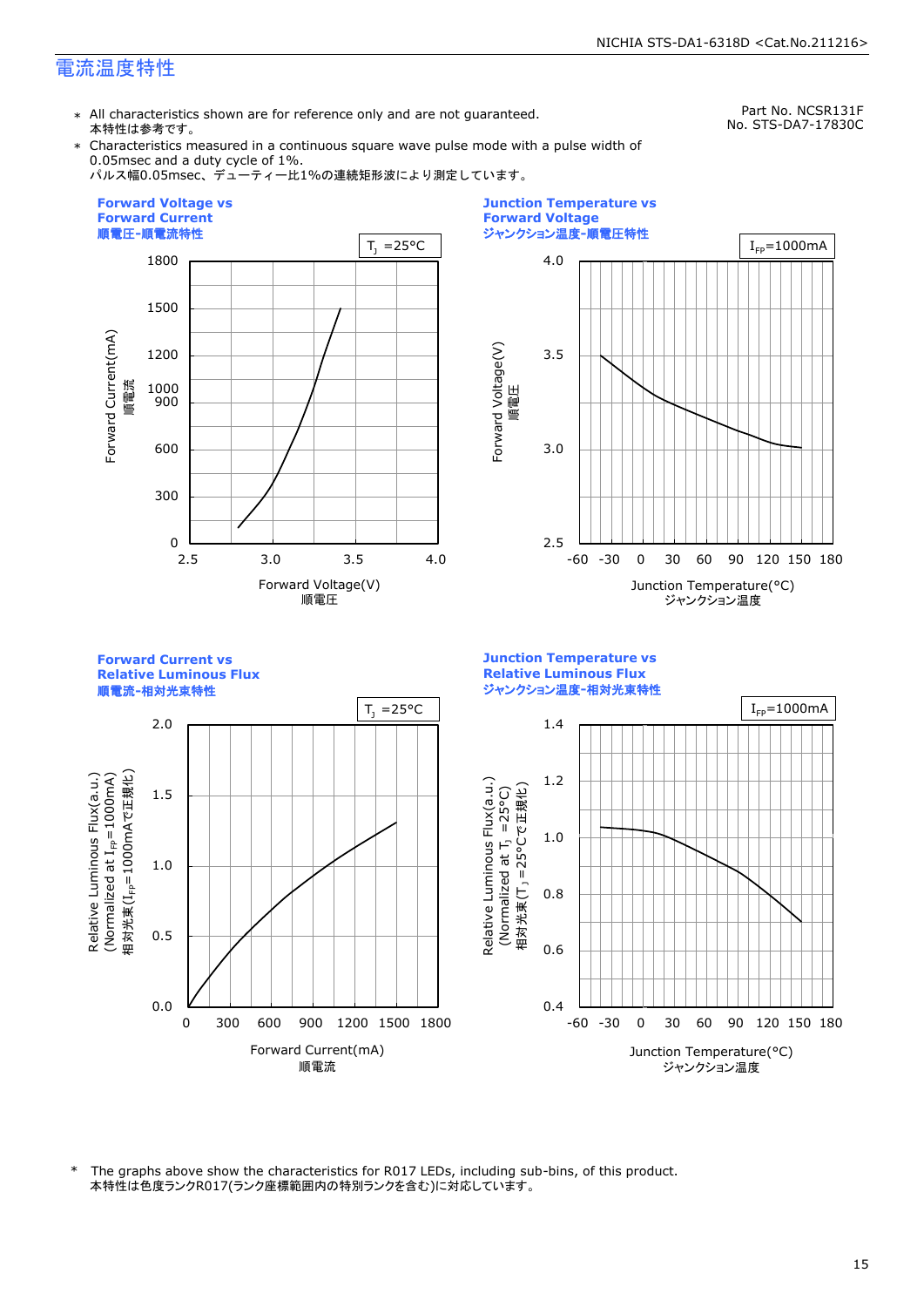\* All characteristics shown are for reference only and are not guaranteed. 本特性は参考です。

Part No. NCSR131F No. STS-DA7-17830C

\* Characteristics measured in a continuous square wave pulse mode with a pulse width of 0.05msec and a duty cycle of 1%.

パルス幅0.05msec、デューティー比1%の連続矩形波により測定しています。





**Forward Current vs Junction Temperature vs Relative Luminous Flux Relative Luminous Flux** ジャンクション温度**-**相対光束特性 順電流**-**相対光束特性  $T_1 = 25^{\circ}C$  |  $I_{FP} = 1000 \text{mA}$ 2.0 1.4 Relative Luminous Flux(a.u.) (Normalized at  $I_{\text{FP}}$ =1000mA) 相対光束(I<sub>FP</sub>=1000mAで正規化) 相対光束(IFP=1000mAで正規化)  $(100001$  at  $I_{\text{fp}}$  at  $I_{\text{F}}$  because  $\lambda$ 1.2 Relative Luminous Flux(a.u.) Relative Luminous Flux(a.u.) Relative Luminous Flux(a.u.) 相対光束(T」 =25°Cで正規化) 1.5 (Normalized at  $T_1$  =25°C) 1.0 m i 1.0 0.8 0.5 0.6 0.0 0.4 0 300 600 900 1200 1500 1800 -60 -30 0 30 60 90 120 150 180 Forward Current(mA) Junction Temperature(°C) 順電流 ジャンクション温度

本特性は色度ランクR017(ランク座標範囲内の特別ランクを含む)に対応しています。 \* The graphs above show the characteristics for R017 LEDs, including sub-bins, of this product.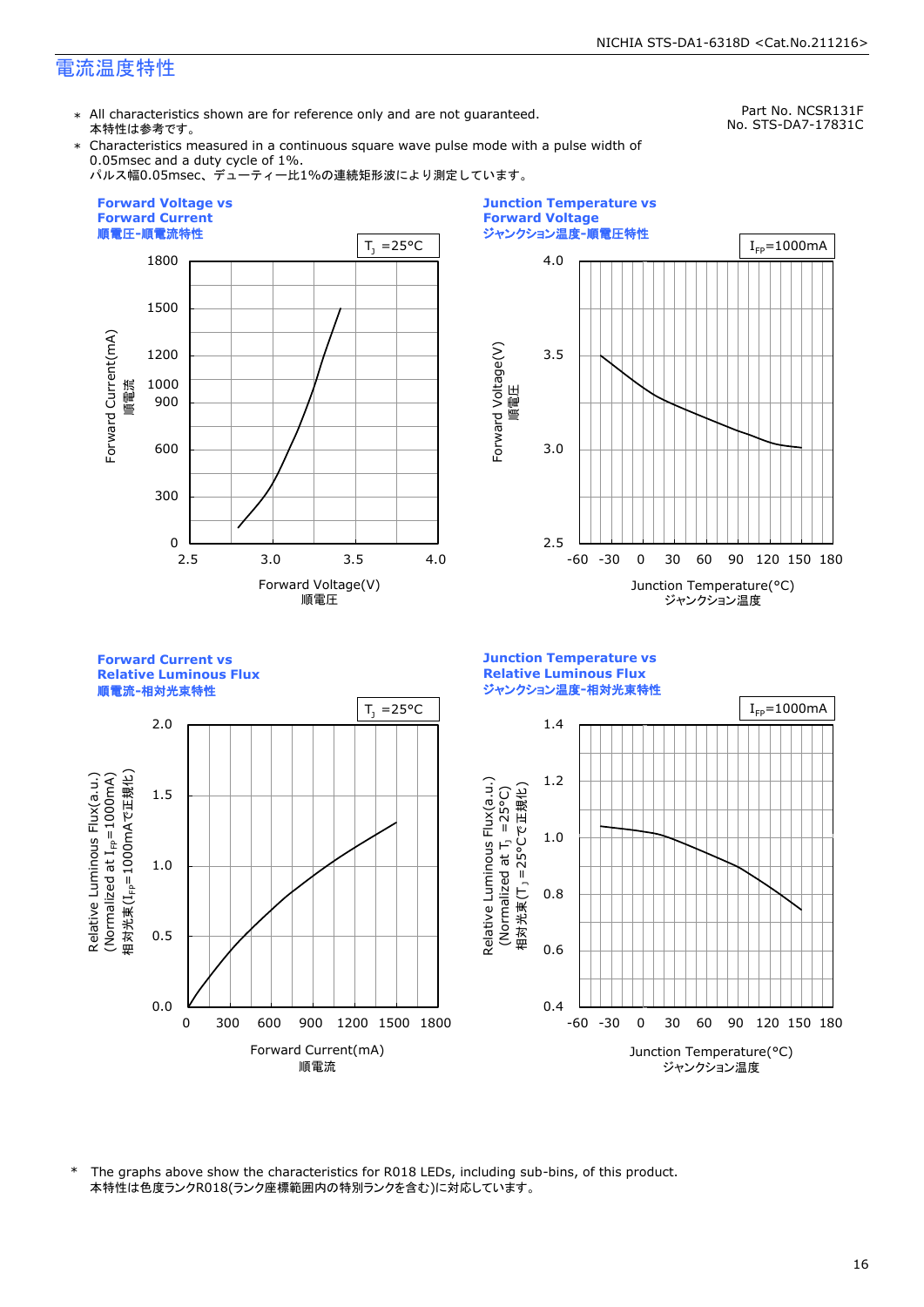\* All characteristics shown are for reference only and are not guaranteed. 本特性は参考です。

Part No. NCSR131F No. STS-DA7-17831C

\* Characteristics measured in a continuous square wave pulse mode with a pulse width of 0.05msec and a duty cycle of 1%.

パルス幅0.05msec、デューティー比1%の連続矩形波により測定しています。







本特性は色度ランクR018(ランク座標範囲内の特別ランクを含む)に対応しています。 \* The graphs above show the characteristics for R018 LEDs, including sub-bins, of this product.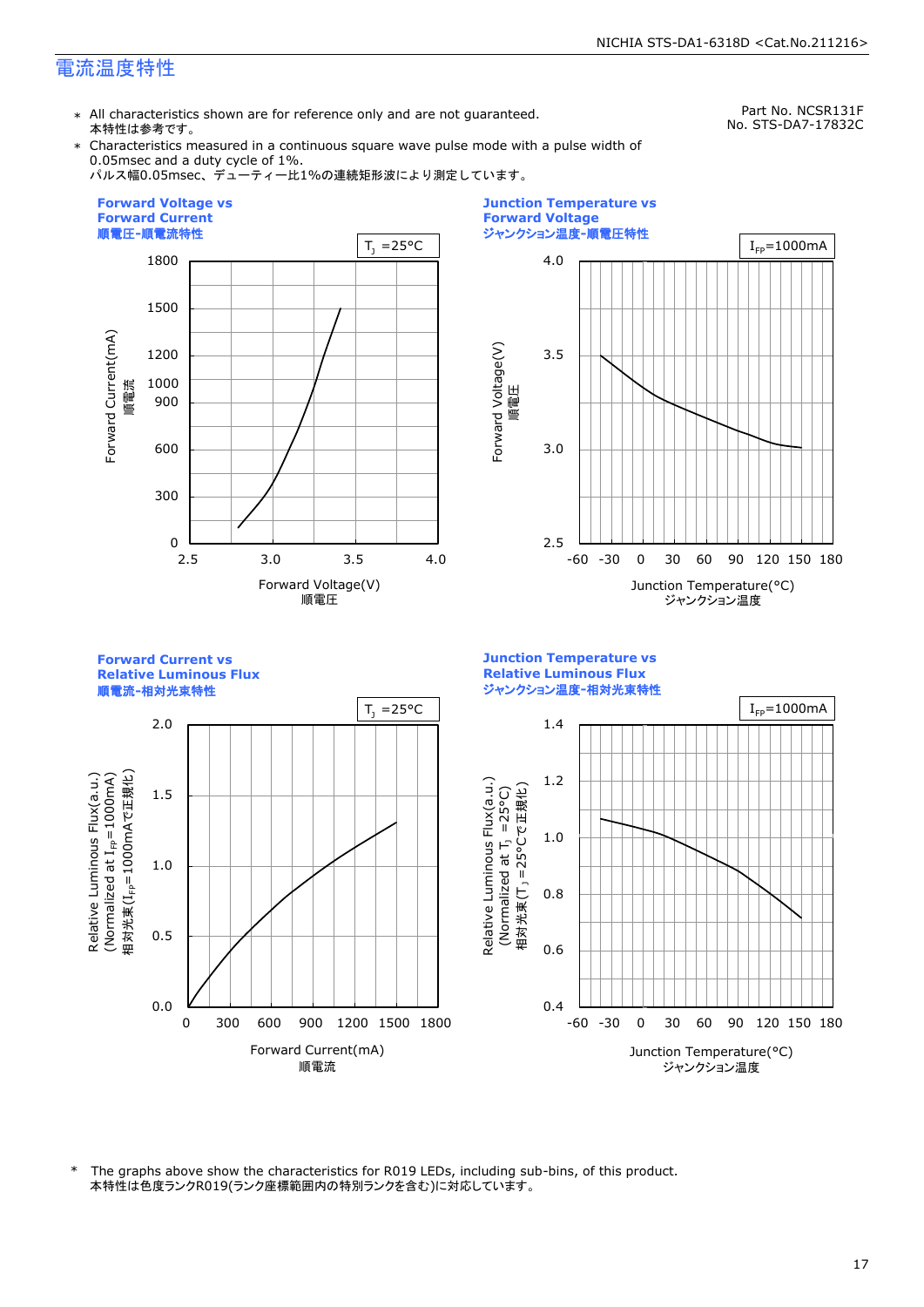\* All characteristics shown are for reference only and are not guaranteed. 本特性は参考です。

Part No. NCSR131F No. STS-DA7-17832C

\* Characteristics measured in a continuous square wave pulse mode with a pulse width of 0.05msec and a duty cycle of 1%.

パルス幅0.05msec、デューティー比1%の連続矩形波により測定しています。





**Forward Current vs Junction Temperature vs Relative Luminous Flux Relative Luminous Flux** ジャンクション温度**-**相対光束特性 順電流**-**相対光束特性  $T_1 = 25^{\circ}C$  |  $I_{FP} = 1000 \text{ mA}$ 2.0 1.4 Relative Luminous Flux(a.u.) (Normalized at  $I_{\text{FP}}$ =1000mA) 相対光束(I<sub>FP</sub>=1000mAで正規化) 相対光束(IFP=1000mAで正規化)  $(100001$  at  $I_{\text{fp}}$  at  $I_{\text{F}}$  because  $\lambda$ 1.2 Relative Luminous Flux(a.u.) Relative Luminous Flux(a.u.) Relative Luminous Flux(a.u.) 相対光束(T」 =25°Cで正規化) 1.5 (Normalized at  $T_1$  =25°C) 1.0 m i 1.0 0.8 0.5 0.6 0.0 0.4 0 300 600 900 1200 1500 1800 -60 -30 0 30 60 90 120 150 180 Forward Current(mA) Junction Temperature(°C) 順電流 ジャンクション温度

本特性は色度ランクR019(ランク座標範囲内の特別ランクを含む)に対応しています。 \* The graphs above show the characteristics for R019 LEDs, including sub-bins, of this product.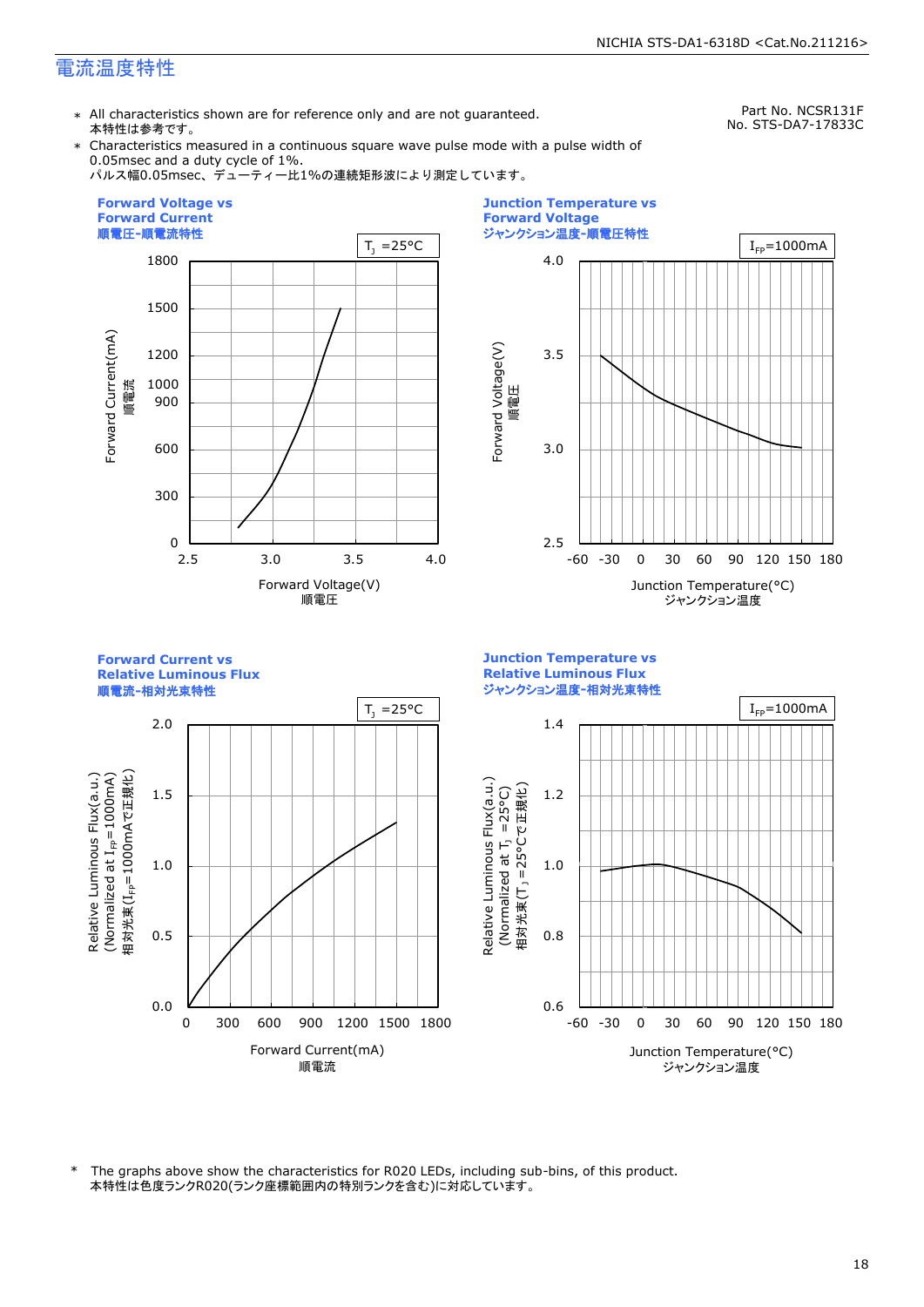\* All characteristics shown are for reference only and are not guaranteed. 本特性は参考です。

Part No. NCSR131F No. STS-DA7-17833C

\* Characteristics measured in a continuous square wave pulse mode with a pulse width of 0.05msec and a duty cycle of 1%.







**Forward Current vs Junction Temperature vs Relative Luminous Flux Relative Luminous Flux** ジャンクション温度**-**相対光束特性 順電流**-**相対光束特性  $T_1 = 25^{\circ}C$  |  $I_{FP} = 1000 \text{mA}$ 2.0 1.4 Relative Luminous Flux(a.u.) (Normalized at  $I_{\text{FP}}$ =1000mA) 相対光束(I<sub>FP</sub>=1000mAで正規化) 相対光束(IFP=1000mAで正規化)  $(100001$  at  $I_{\text{fp}}$  at  $I_{\text{F}}$  because  $\lambda$ Relative Luminous Flux(a.u.) Relative Luminous Flux(a.u.) Relative Luminous Flux(a.u.) 相対光束(T」 =25°Cで正規化) 1.5 1.2 (Normalized at  $T_1$  =25°C) m i 1.0 1.0 0.5 0.8 0.0 0.6 0 300 600 900 1200 1500 1800 -60 -30 0 30 60 90 120 150 180 Forward Current(mA) Junction Temperature(°C) 順電流 ジャンクション温度

本特性は色度ランクR020(ランク座標範囲内の特別ランクを含む)に対応しています。 \* The graphs above show the characteristics for R020 LEDs, including sub-bins, of this product.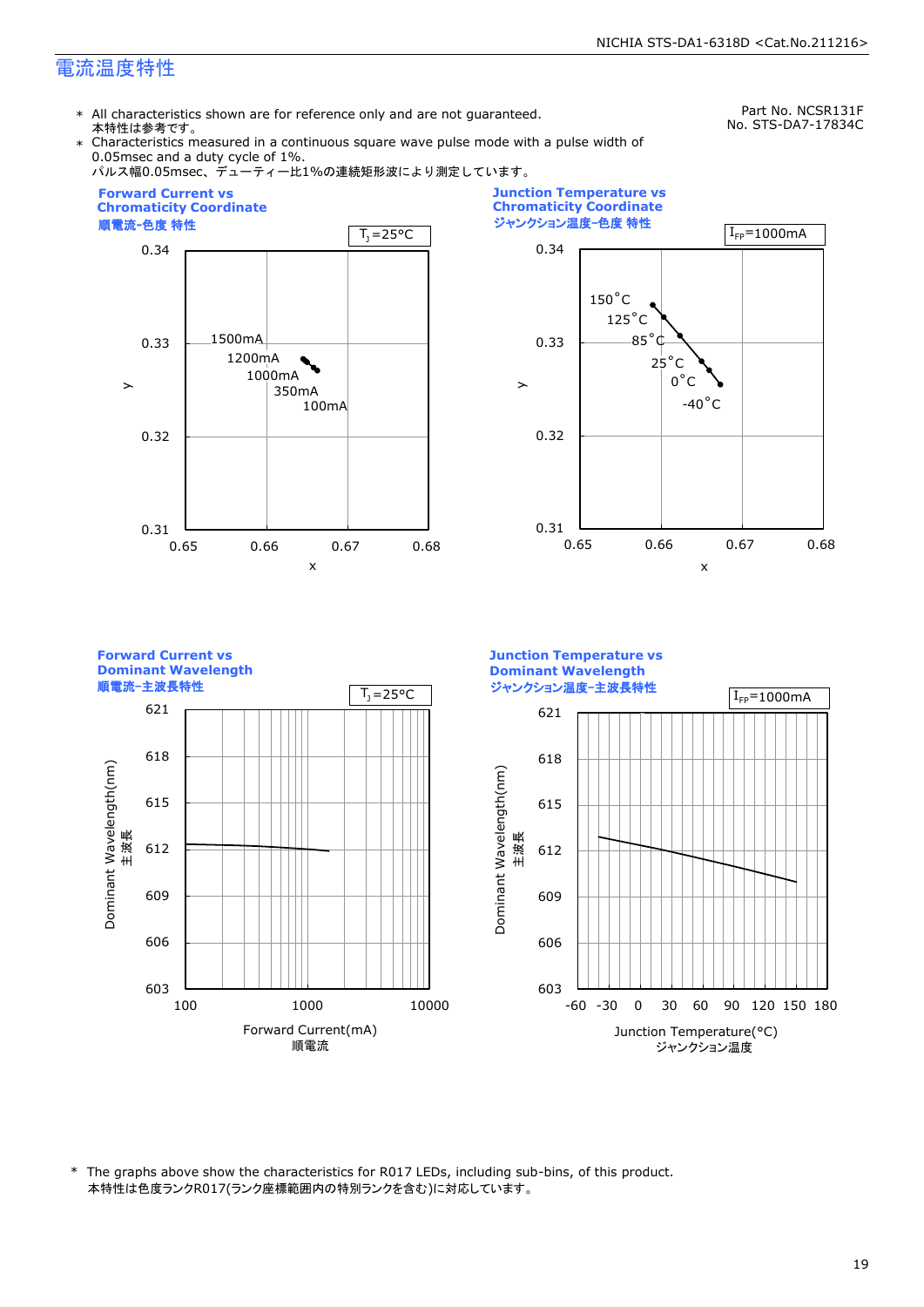\* All characteristics shown are for reference only and are not guaranteed. 本特性は参考です。

Part No. NCSR131F No. STS-DA7-17834C

\* Characteristics measured in a continuous square wave pulse mode with a pulse width of 0.05msec and a duty cycle of 1%.



\* The graphs above show the characteristics for R017 LEDs, including sub-bins, of this product. 本特性は色度ランクR017(ランク座標範囲内の特別ランクを含む)に対応しています。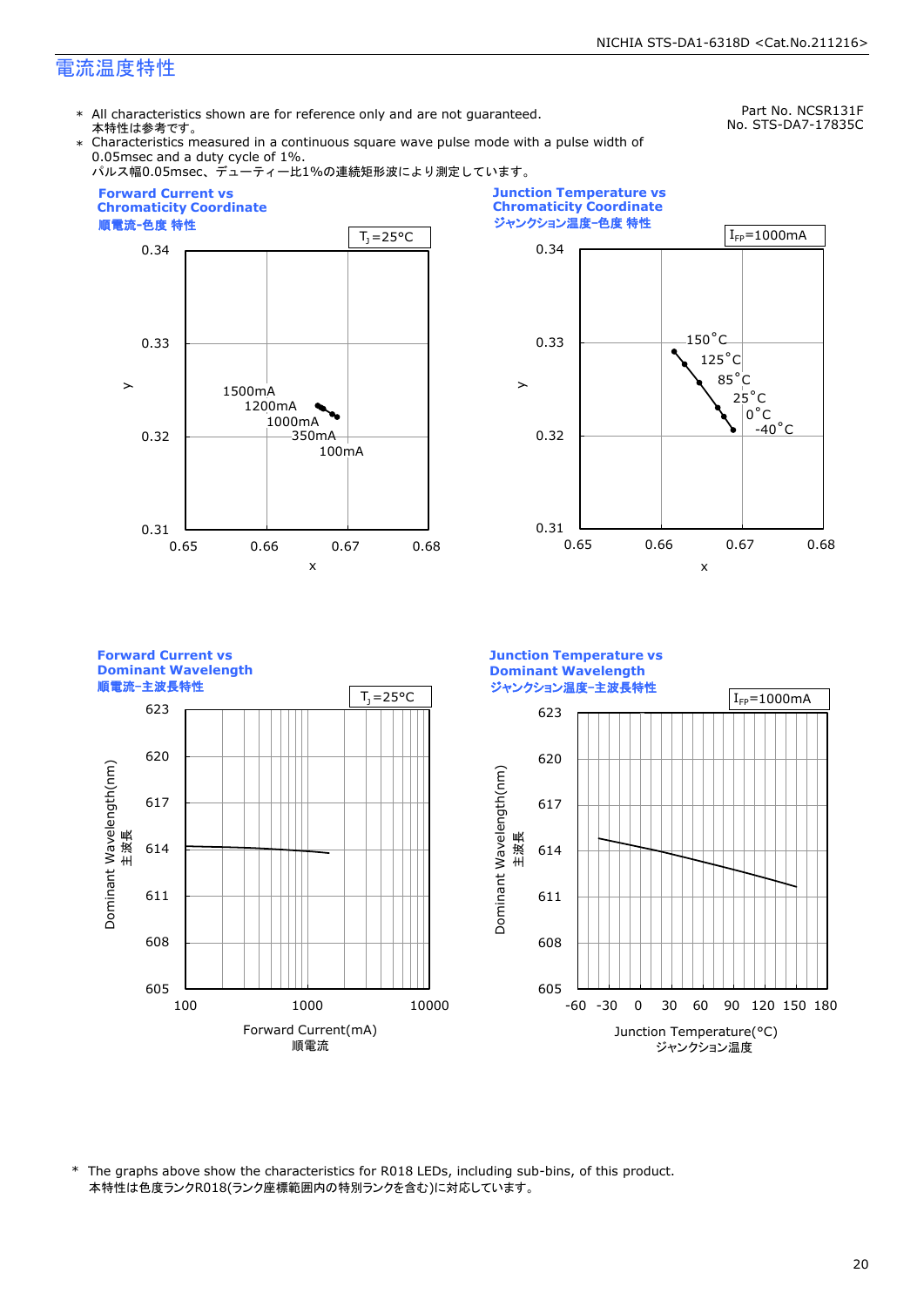\* All characteristics shown are for reference only and are not guaranteed. 本特性は参考です。

Part No. NCSR131F No. STS-DA7-17835C

\* Characteristics measured in a continuous square wave pulse mode with a pulse width of 0.05msec and a duty cycle of 1%.



\* The graphs above show the characteristics for R018 LEDs, including sub-bins, of this product. 本特性は色度ランクR018(ランク座標範囲内の特別ランクを含む)に対応しています。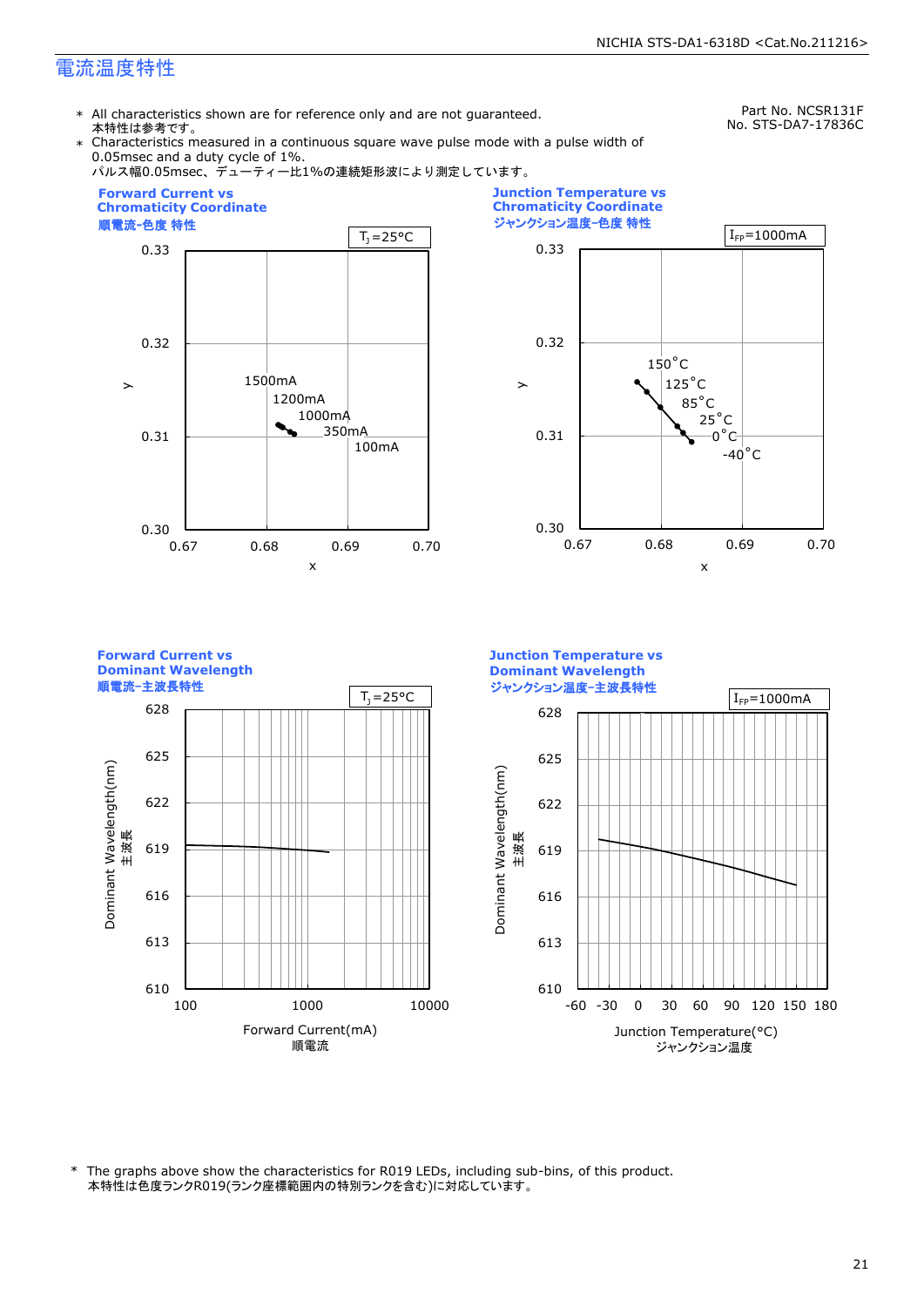\* All characteristics shown are for reference only and are not guaranteed. 本特性は参考です。

Part No. NCSR131F No. STS-DA7-17836C

Characteristics measured in a continuous square wave pulse mode with a pulse width of 0.05msec and a duty cycle of 1%.



\* The graphs above show the characteristics for R019 LEDs, including sub-bins, of this product. 本特性は色度ランクR019(ランク座標範囲内の特別ランクを含む)に対応しています。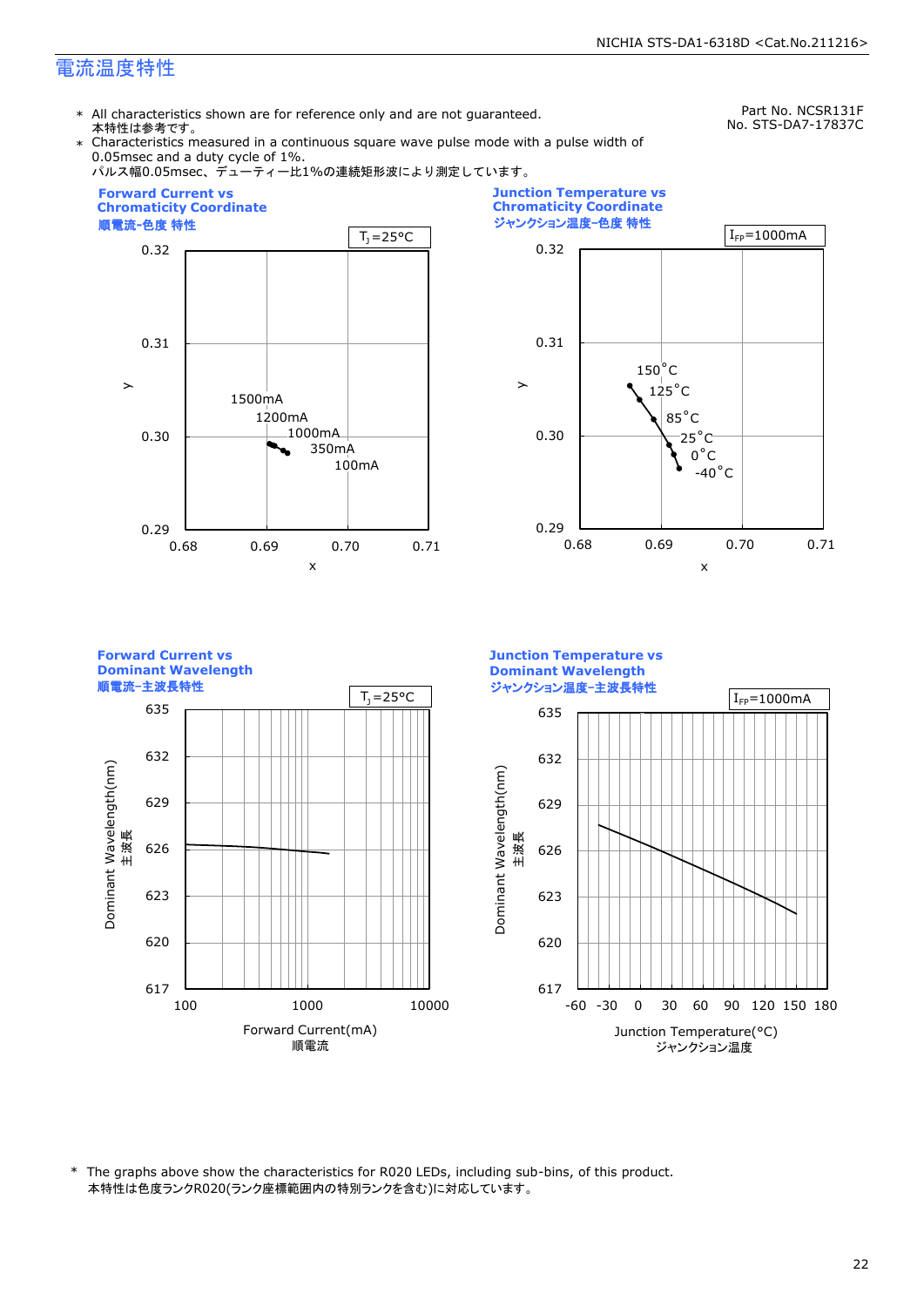\* All characteristics shown are for reference only and are not guaranteed. 本特性は参考です。

Part No. NCSR131F No. STS-DA7-17837C

Characteristics measured in a continuous square wave pulse mode with a pulse width of 0.05msec and a duty cycle of 1%.



\* The graphs above show the characteristics for R020 LEDs, including sub-bins, of this product. 本特性は色度ランクR020(ランク座標範囲内の特別ランクを含む)に対応しています。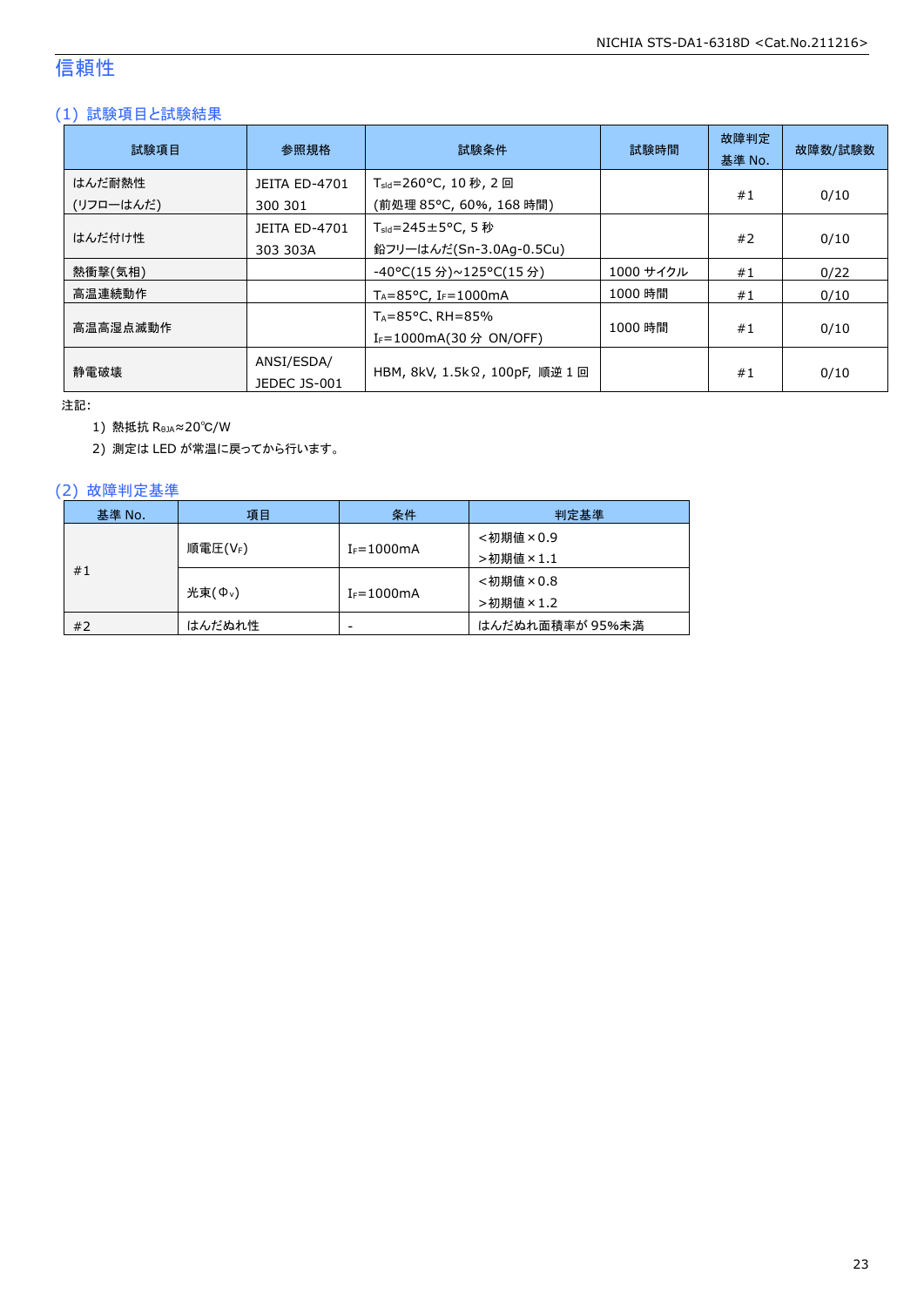### 信頼性

#### (1) 試験項目と試験結果

| 試験項目                | 参照規格                             | 試験条件                                                                   | 試験時間      | 故障判定<br>基準 No. | 故障数/試験数 |
|---------------------|----------------------------------|------------------------------------------------------------------------|-----------|----------------|---------|
| はんだ耐熱性<br>(リフローはんだ) | <b>JEITA ED-4701</b><br>300 301  | T <sub>sld</sub> =260°C, 10 秒, 2 回<br>(前処理 85℃, 60%, 168 時間)           |           | #1             | 0/10    |
| はんだ付け性              | <b>JEITA ED-4701</b><br>303 303A | $T_{\text{std}} = 245 \pm 5^{\circ}$ C, 5 秒<br>鉛フリーはんだ(Sn-3.0Ag-0.5Cu) |           | #2             | 0/10    |
| 熱衝撃(気相)             |                                  | -40°C(15 分)~125°C(15 分)                                                | 1000 サイクル | #1             | 0/22    |
| 高温連続動作              |                                  | $T_A = 85^{\circ}$ C, I <sub>F</sub> =1000mA                           | 1000 時間   | #1             | 0/10    |
| 高温高湿点滅動作            |                                  | $T_A = 85^{\circ}$ C, RH = 85%<br>I <sub>F</sub> =1000mA(30 分 ON/OFF)  | 1000 時間   | #1             | 0/10    |
| 静雷破壊                | ANSI/ESDA/<br>JEDEC JS-001       | HBM, 8kV, 1.5kΩ, 100pF, 順逆 1 回                                         |           | #1             | 0/10    |

注記:

1) 熱抵抗 RθJA≈20℃/W

2) 測定は LED が常温に戻ってから行います。

#### (2) 故障判定基準

| 基準 No. | 項目                  | 条件              | 判定基準            |
|--------|---------------------|-----------------|-----------------|
|        |                     |                 | <初期値×0.9        |
|        | 順電圧(VF)             | $I_F = 1000$ mA | >初期値×1.1        |
| #1     |                     |                 | <初期値×0.8        |
|        | 光束(Φ <sub>ν</sub> ) | $I_F = 1000$ mA | >初期値×1.2        |
| #2     | はんだぬれ性              | -               | はんだぬれ面積率が 95%未満 |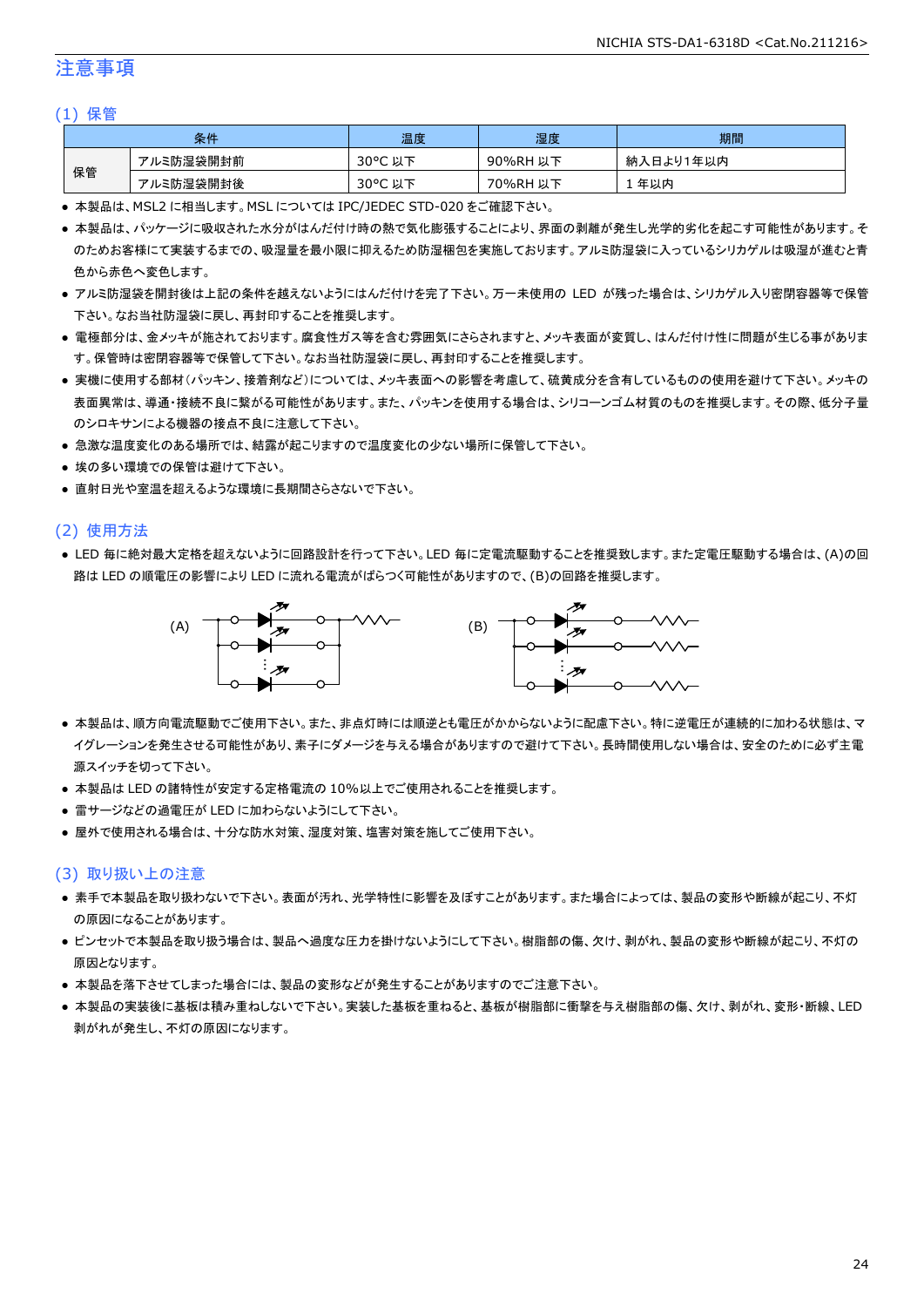#### 注意事項

#### (1) 保管

| 条件 |           | 温度                   | 湿度       | 期間        |
|----|-----------|----------------------|----------|-----------|
| 保管 | アルミ防湿袋開封前 | $30^{\circ}$ C<br>以下 | 90%RH 以下 | 納入日より1年以内 |
|    | アルミ防湿袋開封後 | $30^{\circ}$ C<br>以下 | 70%RH 以下 | 年以内       |

● 本製品は、MSL2 に相当します。MSL については IPC/JEDEC STD-020 をご確認下さい。

- 本製品は、パッケージに吸収された水分がはんだ付け時の熱で気化膨張することにより、界面の剥離が発生し光学的劣化を起こす可能性があります。そ のためお客様にて実装するまでの、吸湿量を最小限に抑えるため防湿梱包を実施しております。アルミ防湿袋に入っているシリカゲルは吸湿が進むと青 色から赤色へ変色します。
- アルミ防湿袋を開封後は上記の条件を越えないようにはんだ付けを完了下さい。万一未使用の LED が残った場合は、シリカゲル入り密閉容器等で保管 下さい。なお当社防湿袋に戻し、再封印することを推奨します。
- 電極部分は、金メッキが施されております。腐食性ガス等を含む雰囲気にさらされますと、メッキ表面が変質し、はんだ付け性に問題が生じる事がありま す。保管時は密閉容器等で保管して下さい。なお当社防湿袋に戻し、再封印することを推奨します。
- 実機に使用する部材(パッキン、接着剤など)については、メッキ表面への影響を考慮して、硫黄成分を含有しているものの使用を避けて下さい。メッキの 表面異常は、導通・接続不良に繋がる可能性があります。また、パッキンを使用する場合は、シリコーンゴム材質のものを推奨します。その際、低分子量 のシロキサンによる機器の接点不良に注意して下さい。
- 急激な温度変化のある場所では、結露が起こりますので温度変化の少ない場所に保管して下さい。
- 埃の多い環境での保管は避けて下さい。
- 直射日光や室温を超えるような環境に長期間さらさないで下さい。

#### (2) 使用方法

● LED 毎に絶対最大定格を超えないように回路設計を行って下さい。LED 毎に定電流駆動することを推奨致します。また定電圧駆動する場合は、(A)の回 路は LED の順電圧の影響により LED に流れる電流がばらつく可能性がありますので、(B)の回路を推奨します。



- 本製品は、順方向電流駆動でご使用下さい。また、非点灯時には順逆とも電圧がかからないように配慮下さい。特に逆電圧が連続的に加わる状態は、マ イグレーションを発生させる可能性があり、素子にダメージを与える場合がありますので避けて下さい。長時間使用しない場合は、安全のために必ず主電 源スイッチを切って下さい。
- 本製品は LED の諸特性が安定する定格電流の 10%以上でご使用されることを推奨します。
- 雷サージなどの過電圧が LED に加わらないようにして下さい。
- 屋外で使用される場合は、十分な防水対策、湿度対策、塩害対策を施してご使用下さい。

#### (3) 取り扱い上の注意

- 素手で本製品を取り扱わないで下さい。表面が汚れ、光学特性に影響を及ぼすことがあります。また場合によっては、製品の変形や断線が起こり、不灯 の原因になることがあります。
- ピンセットで本製品を取り扱う場合は、製品へ過度な圧力を掛けないようにして下さい。樹脂部の傷、欠け、剥がれ、製品の変形や断線が起こり、不灯の 原因となります。
- 本製品を落下させてしまった場合には、製品の変形などが発生することがありますのでご注意下さい。
- 本製品の実装後に基板は積み重ねしないで下さい。実装した基板を重ねると、基板が樹脂部に衝撃を与え樹脂部の傷、欠け、剥がれ、変形・断線、LED 剥がれが発生し、不灯の原因になります。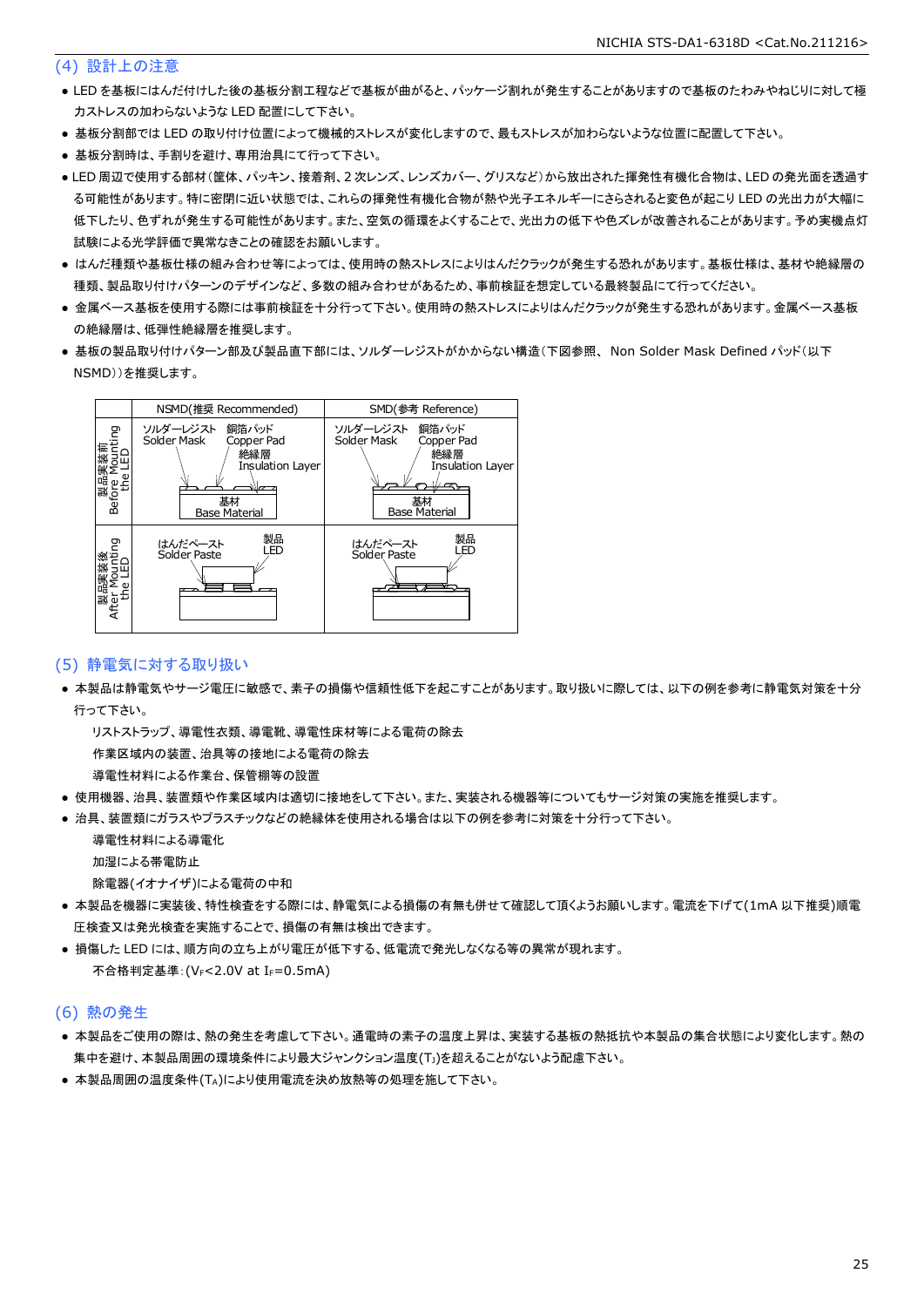#### (4) 設計上の注意

- LED を基板にはんだ付けした後の基板分割工程などで基板が曲がると、パッケージ割れが発生することがありますので基板のたわみやねじりに対して極 力ストレスの加わらないような LED 配置にして下さい。
- 基板分割部では LED の取り付け位置によって機械的ストレスが変化しますので、最もストレスが加わらないような位置に配置して下さい。
- 基板分割時は、手割りを避け、専用治具にて行って下さい。
- LED 周辺で使用する部材(筐体、パッキン、接着剤、2 次レンズ、レンズカバー、グリスなど)から放出された揮発性有機化合物は、LED の発光面を透過す る可能性があります。特に密閉に近い状態では、これらの揮発性有機化合物が熱や光子エネルギーにさらされると変色が起こり LED の光出力が大幅に 低下したり、色ずれが発生する可能性があります。また、空気の循環をよくすることで、光出力の低下や色ズレが改善されることがあります。予め実機点灯 試験による光学評価で異常なきことの確認をお願いします。
- はんだ種類や基板仕様の組み合わせ等によっては、使用時の熱ストレスによりはんだクラックが発生する恐れがあります。基板仕様は、基材や絶縁層の 種類、製品取り付けパターンのデザインなど、多数の組み合わせがあるため、事前検証を想定している最終製品にて行ってください。
- 金属ベース基板を使用する際には事前検証を十分行って下さい。使用時の熱ストレスによりはんだクラックが発生する恐れがあります。金属ベース基板 の絶縁層は、低弾性絶縁層を推奨します。
- 基板の製品取り付けパターン部及び製品直下部には、ソルダーレジストがかからない構造(下図参照、 Non Solder Mask Defined パッド(以下 NSMD))を推奨します。



#### (5) 静電気に対する取り扱い

● 本製品は静電気やサージ電圧に敏感で、素子の損傷や信頼性低下を起こすことがあります。取り扱いに際しては、以下の例を参考に静電気対策を十分 行って下さい。

 リストストラップ、導電性衣類、導電靴、導電性床材等による電荷の除去 作業区域内の装置、治具等の接地による電荷の除去

導電性材料による作業台、保管棚等の設置

- 使用機器、治具、装置類や作業区域内は適切に接地をして下さい。また、実装される機器等についてもサージ対策の実施を推奨します。
- 治具、装置類にガラスやプラスチックなどの絶縁体を使用される場合は以下の例を参考に対策を十分行って下さい。

 導電性材料による導電化 加湿による帯電防止

除電器(イオナイザ)による電荷の中和

- 本製品を機器に実装後、特性検査をする際には、静電気による損傷の有無も併せて確認して頂くようお願いします。電流を下げて(1mA 以下推奨)順電 圧検査又は発光検査を実施することで、損傷の有無は検出できます。
- 損傷した LED には、順方向の立ち上がり電圧が低下する、低電流で発光しなくなる等の異常が現れます。 不合格判定基準: (VF<2.0V at IF=0.5mA)

#### (6) 熱の発生

- 本製品をご使用の際は、熱の発生を考慮して下さい。通電時の素子の温度上昇は、実装する基板の熱抵抗や本製品の集合状態により変化します。熱の 集中を避け、本製品周囲の環境条件により最大ジャンクション温度(TJ)を超えることがないよう配慮下さい。
- 本製品周囲の温度条件(TA)により使用電流を決め放熱等の処理を施して下さい。